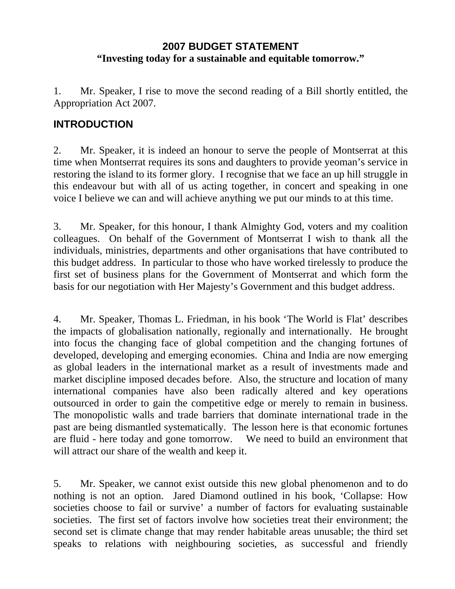# **2007 BUDGET STATEMENT "Investing today for a sustainable and equitable tomorrow."**

1. Mr. Speaker, I rise to move the second reading of a Bill shortly entitled, the Appropriation Act 2007.

# **INTRODUCTION**

2. Mr. Speaker, it is indeed an honour to serve the people of Montserrat at this time when Montserrat requires its sons and daughters to provide yeoman's service in restoring the island to its former glory. I recognise that we face an up hill struggle in this endeavour but with all of us acting together, in concert and speaking in one voice I believe we can and will achieve anything we put our minds to at this time.

3. Mr. Speaker, for this honour, I thank Almighty God, voters and my coalition colleagues. On behalf of the Government of Montserrat I wish to thank all the individuals, ministries, departments and other organisations that have contributed to this budget address. In particular to those who have worked tirelessly to produce the first set of business plans for the Government of Montserrat and which form the basis for our negotiation with Her Majesty's Government and this budget address.

4. Mr. Speaker, Thomas L. Friedman, in his book 'The World is Flat' describes the impacts of globalisation nationally, regionally and internationally. He brought into focus the changing face of global competition and the changing fortunes of developed, developing and emerging economies. China and India are now emerging as global leaders in the international market as a result of investments made and market discipline imposed decades before. Also, the structure and location of many international companies have also been radically altered and key operations outsourced in order to gain the competitive edge or merely to remain in business. The monopolistic walls and trade barriers that dominate international trade in the past are being dismantled systematically. The lesson here is that economic fortunes are fluid - here today and gone tomorrow. We need to build an environment that will attract our share of the wealth and keep it.

5. Mr. Speaker, we cannot exist outside this new global phenomenon and to do nothing is not an option. Jared Diamond outlined in his book, 'Collapse: How societies choose to fail or survive' a number of factors for evaluating sustainable societies. The first set of factors involve how societies treat their environment; the second set is climate change that may render habitable areas unusable; the third set speaks to relations with neighbouring societies, as successful and friendly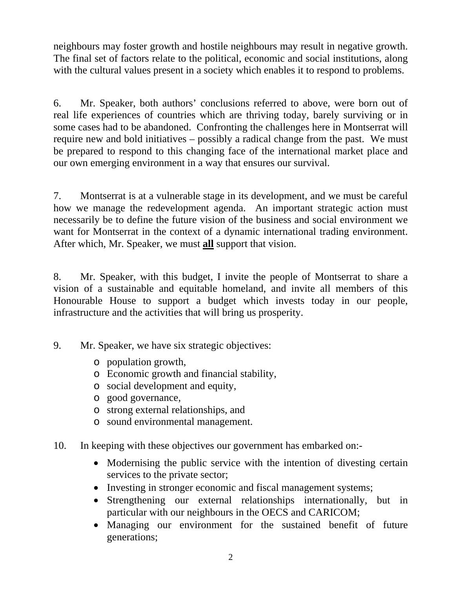neighbours may foster growth and hostile neighbours may result in negative growth. The final set of factors relate to the political, economic and social institutions, along with the cultural values present in a society which enables it to respond to problems.

6. Mr. Speaker, both authors' conclusions referred to above, were born out of real life experiences of countries which are thriving today, barely surviving or in some cases had to be abandoned. Confronting the challenges here in Montserrat will require new and bold initiatives – possibly a radical change from the past. We must be prepared to respond to this changing face of the international market place and our own emerging environment in a way that ensures our survival.

7. Montserrat is at a vulnerable stage in its development, and we must be careful how we manage the redevelopment agenda. An important strategic action must necessarily be to define the future vision of the business and social environment we want for Montserrat in the context of a dynamic international trading environment. After which, Mr. Speaker, we must **all** support that vision.

8. Mr. Speaker, with this budget, I invite the people of Montserrat to share a vision of a sustainable and equitable homeland, and invite all members of this Honourable House to support a budget which invests today in our people, infrastructure and the activities that will bring us prosperity.

- 9. Mr. Speaker, we have six strategic objectives:
	- o population growth,
	- o Economic growth and financial stability,
	- o social development and equity,
	- o good governance,
	- o strong external relationships, and
	- o sound environmental management.
- 10. In keeping with these objectives our government has embarked on:-
	- Modernising the public service with the intention of divesting certain services to the private sector;
	- Investing in stronger economic and fiscal management systems;
	- Strengthening our external relationships internationally, but in particular with our neighbours in the OECS and CARICOM;
	- Managing our environment for the sustained benefit of future generations;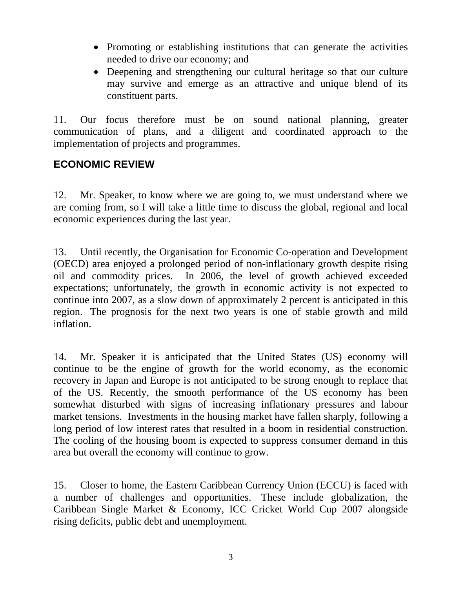- Promoting or establishing institutions that can generate the activities needed to drive our economy; and
- Deepening and strengthening our cultural heritage so that our culture may survive and emerge as an attractive and unique blend of its constituent parts.

11. Our focus therefore must be on sound national planning, greater communication of plans, and a diligent and coordinated approach to the implementation of projects and programmes.

## **ECONOMIC REVIEW**

12. Mr. Speaker, to know where we are going to, we must understand where we are coming from, so I will take a little time to discuss the global, regional and local economic experiences during the last year.

13. Until recently, the Organisation for Economic Co-operation and Development (OECD) area enjoyed a prolonged period of non-inflationary growth despite rising oil and commodity prices. In 2006, the level of growth achieved exceeded expectations; unfortunately, the growth in economic activity is not expected to continue into 2007, as a slow down of approximately 2 percent is anticipated in this region. The prognosis for the next two years is one of stable growth and mild inflation.

14. Mr. Speaker it is anticipated that the United States (US) economy will continue to be the engine of growth for the world economy, as the economic recovery in Japan and Europe is not anticipated to be strong enough to replace that of the US. Recently, the smooth performance of the US economy has been somewhat disturbed with signs of increasing inflationary pressures and labour market tensions. Investments in the housing market have fallen sharply, following a long period of low interest rates that resulted in a boom in residential construction. The cooling of the housing boom is expected to suppress consumer demand in this area but overall the economy will continue to grow.

15. Closer to home, the Eastern Caribbean Currency Union (ECCU) is faced with a number of challenges and opportunities. These include globalization, the Caribbean Single Market & Economy, ICC Cricket World Cup 2007 alongside rising deficits, public debt and unemployment.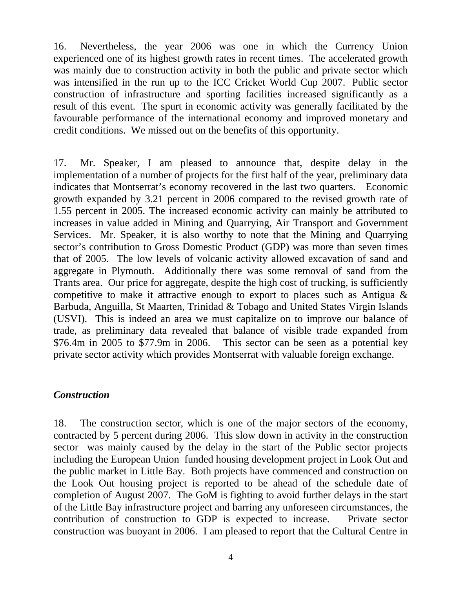16. Nevertheless, the year 2006 was one in which the Currency Union experienced one of its highest growth rates in recent times. The accelerated growth was mainly due to construction activity in both the public and private sector which was intensified in the run up to the ICC Cricket World Cup 2007. Public sector construction of infrastructure and sporting facilities increased significantly as a result of this event. The spurt in economic activity was generally facilitated by the favourable performance of the international economy and improved monetary and credit conditions. We missed out on the benefits of this opportunity.

17. Mr. Speaker, I am pleased to announce that, despite delay in the implementation of a number of projects for the first half of the year, preliminary data indicates that Montserrat's economy recovered in the last two quarters. Economic growth expanded by 3.21 percent in 2006 compared to the revised growth rate of 1.55 percent in 2005. The increased economic activity can mainly be attributed to increases in value added in Mining and Quarrying, Air Transport and Government Services. Mr. Speaker, it is also worthy to note that the Mining and Quarrying sector's contribution to Gross Domestic Product (GDP) was more than seven times that of 2005. The low levels of volcanic activity allowed excavation of sand and aggregate in Plymouth. Additionally there was some removal of sand from the Trants area. Our price for aggregate, despite the high cost of trucking, is sufficiently competitive to make it attractive enough to export to places such as Antigua & Barbuda, Anguilla, St Maarten, Trinidad & Tobago and United States Virgin Islands (USVI). This is indeed an area we must capitalize on to improve our balance of trade, as preliminary data revealed that balance of visible trade expanded from \$76.4m in 2005 to \$77.9m in 2006. This sector can be seen as a potential key private sector activity which provides Montserrat with valuable foreign exchange.

#### *Construction*

18. The construction sector, which is one of the major sectors of the economy, contracted by 5 percent during 2006. This slow down in activity in the construction sector was mainly caused by the delay in the start of the Public sector projects including the European Union funded housing development project in Look Out and the public market in Little Bay. Both projects have commenced and construction on the Look Out housing project is reported to be ahead of the schedule date of completion of August 2007. The GoM is fighting to avoid further delays in the start of the Little Bay infrastructure project and barring any unforeseen circumstances, the contribution of construction to GDP is expected to increase. Private sector construction was buoyant in 2006. I am pleased to report that the Cultural Centre in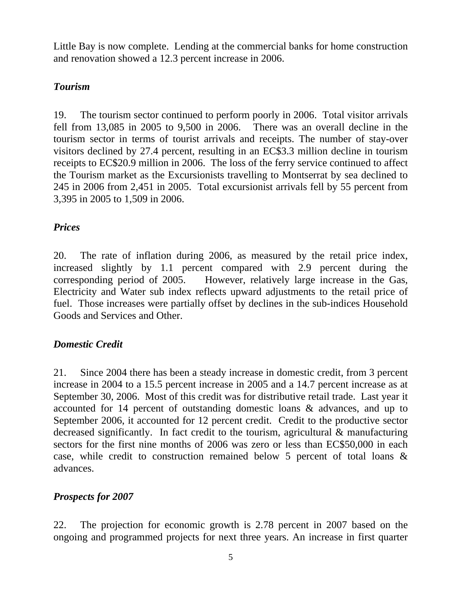Little Bay is now complete. Lending at the commercial banks for home construction and renovation showed a 12.3 percent increase in 2006.

# *Tourism*

19. The tourism sector continued to perform poorly in 2006. Total visitor arrivals fell from 13,085 in 2005 to 9,500 in 2006. There was an overall decline in the tourism sector in terms of tourist arrivals and receipts. The number of stay-over visitors declined by 27.4 percent, resulting in an EC\$3.3 million decline in tourism receipts to EC\$20.9 million in 2006. The loss of the ferry service continued to affect the Tourism market as the Excursionists travelling to Montserrat by sea declined to 245 in 2006 from 2,451 in 2005. Total excursionist arrivals fell by 55 percent from 3,395 in 2005 to 1,509 in 2006.

# *Prices*

20. The rate of inflation during 2006, as measured by the retail price index, increased slightly by 1.1 percent compared with 2.9 percent during the corresponding period of 2005. However, relatively large increase in the Gas, Electricity and Water sub index reflects upward adjustments to the retail price of fuel. Those increases were partially offset by declines in the sub-indices Household Goods and Services and Other.

# *Domestic Credit*

21. Since 2004 there has been a steady increase in domestic credit, from 3 percent increase in 2004 to a 15.5 percent increase in 2005 and a 14.7 percent increase as at September 30, 2006. Most of this credit was for distributive retail trade. Last year it accounted for 14 percent of outstanding domestic loans & advances, and up to September 2006, it accounted for 12 percent credit. Credit to the productive sector decreased significantly. In fact credit to the tourism, agricultural & manufacturing sectors for the first nine months of 2006 was zero or less than EC\$50,000 in each case, while credit to construction remained below 5 percent of total loans & advances.

# *Prospects for 2007*

22. The projection for economic growth is 2.78 percent in 2007 based on the ongoing and programmed projects for next three years. An increase in first quarter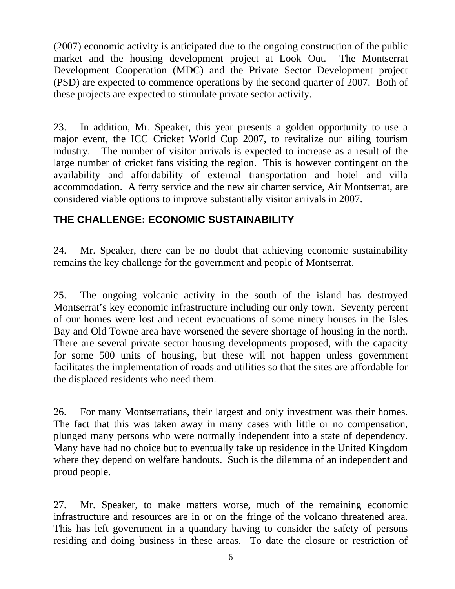(2007) economic activity is anticipated due to the ongoing construction of the public market and the housing development project at Look Out. The Montserrat Development Cooperation (MDC) and the Private Sector Development project (PSD) are expected to commence operations by the second quarter of 2007. Both of these projects are expected to stimulate private sector activity.

23. In addition, Mr. Speaker, this year presents a golden opportunity to use a major event, the ICC Cricket World Cup 2007, to revitalize our ailing tourism industry. The number of visitor arrivals is expected to increase as a result of the large number of cricket fans visiting the region. This is however contingent on the availability and affordability of external transportation and hotel and villa accommodation. A ferry service and the new air charter service, Air Montserrat, are considered viable options to improve substantially visitor arrivals in 2007.

# **THE CHALLENGE: ECONOMIC SUSTAINABILITY**

24. Mr. Speaker, there can be no doubt that achieving economic sustainability remains the key challenge for the government and people of Montserrat.

25. The ongoing volcanic activity in the south of the island has destroyed Montserrat's key economic infrastructure including our only town. Seventy percent of our homes were lost and recent evacuations of some ninety houses in the Isles Bay and Old Towne area have worsened the severe shortage of housing in the north. There are several private sector housing developments proposed, with the capacity for some 500 units of housing, but these will not happen unless government facilitates the implementation of roads and utilities so that the sites are affordable for the displaced residents who need them.

26. For many Montserratians, their largest and only investment was their homes. The fact that this was taken away in many cases with little or no compensation, plunged many persons who were normally independent into a state of dependency. Many have had no choice but to eventually take up residence in the United Kingdom where they depend on welfare handouts. Such is the dilemma of an independent and proud people.

27. Mr. Speaker, to make matters worse, much of the remaining economic infrastructure and resources are in or on the fringe of the volcano threatened area. This has left government in a quandary having to consider the safety of persons residing and doing business in these areas. To date the closure or restriction of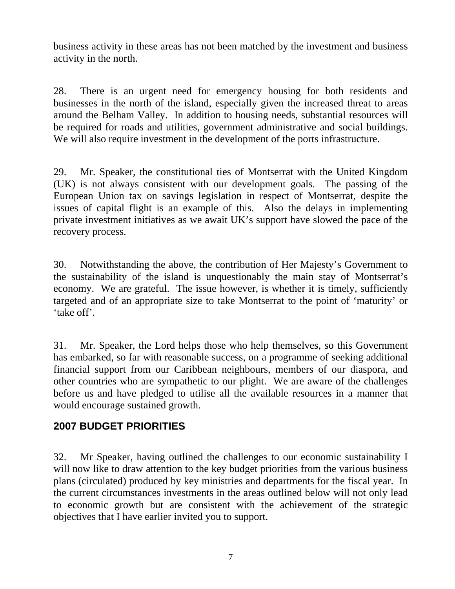business activity in these areas has not been matched by the investment and business activity in the north.

28. There is an urgent need for emergency housing for both residents and businesses in the north of the island, especially given the increased threat to areas around the Belham Valley. In addition to housing needs, substantial resources will be required for roads and utilities, government administrative and social buildings. We will also require investment in the development of the ports infrastructure.

29. Mr. Speaker, the constitutional ties of Montserrat with the United Kingdom (UK) is not always consistent with our development goals. The passing of the European Union tax on savings legislation in respect of Montserrat, despite the issues of capital flight is an example of this. Also the delays in implementing private investment initiatives as we await UK's support have slowed the pace of the recovery process.

30. Notwithstanding the above, the contribution of Her Majesty's Government to the sustainability of the island is unquestionably the main stay of Montserrat's economy. We are grateful. The issue however, is whether it is timely, sufficiently targeted and of an appropriate size to take Montserrat to the point of 'maturity' or 'take off'.

31. Mr. Speaker, the Lord helps those who help themselves, so this Government has embarked, so far with reasonable success, on a programme of seeking additional financial support from our Caribbean neighbours, members of our diaspora, and other countries who are sympathetic to our plight. We are aware of the challenges before us and have pledged to utilise all the available resources in a manner that would encourage sustained growth.

# **2007 BUDGET PRIORITIES**

32. Mr Speaker, having outlined the challenges to our economic sustainability I will now like to draw attention to the key budget priorities from the various business plans (circulated) produced by key ministries and departments for the fiscal year. In the current circumstances investments in the areas outlined below will not only lead to economic growth but are consistent with the achievement of the strategic objectives that I have earlier invited you to support.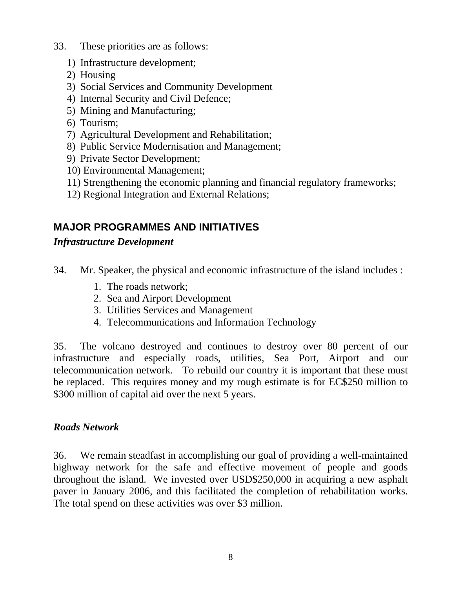- 33. These priorities are as follows:
	- 1) Infrastructure development;
	- 2) Housing
	- 3) Social Services and Community Development
	- 4) Internal Security and Civil Defence;
	- 5) Mining and Manufacturing;
	- 6) Tourism;
	- 7) Agricultural Development and Rehabilitation;
	- 8) Public Service Modernisation and Management;
	- 9) Private Sector Development;
	- 10) Environmental Management;
	- 11) Strengthening the economic planning and financial regulatory frameworks;
	- 12) Regional Integration and External Relations;

# **MAJOR PROGRAMMES AND INITIATIVES**

## *Infrastructure Development*

- 34. Mr. Speaker, the physical and economic infrastructure of the island includes :
	- 1. The roads network;
	- 2. Sea and Airport Development
	- 3. Utilities Services and Management
	- 4. Telecommunications and Information Technology

35. The volcano destroyed and continues to destroy over 80 percent of our infrastructure and especially roads, utilities, Sea Port, Airport and our telecommunication network. To rebuild our country it is important that these must be replaced. This requires money and my rough estimate is for EC\$250 million to \$300 million of capital aid over the next 5 years.

### *Roads Network*

36. We remain steadfast in accomplishing our goal of providing a well-maintained highway network for the safe and effective movement of people and goods throughout the island. We invested over USD\$250,000 in acquiring a new asphalt paver in January 2006, and this facilitated the completion of rehabilitation works. The total spend on these activities was over \$3 million.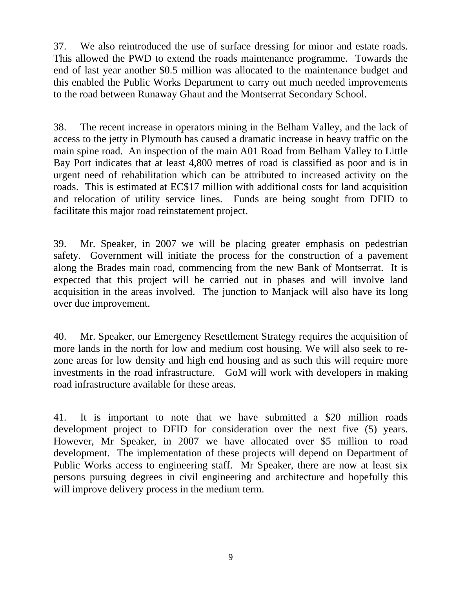37. We also reintroduced the use of surface dressing for minor and estate roads. This allowed the PWD to extend the roads maintenance programme. Towards the end of last year another \$0.5 million was allocated to the maintenance budget and this enabled the Public Works Department to carry out much needed improvements to the road between Runaway Ghaut and the Montserrat Secondary School.

38. The recent increase in operators mining in the Belham Valley, and the lack of access to the jetty in Plymouth has caused a dramatic increase in heavy traffic on the main spine road. An inspection of the main A01 Road from Belham Valley to Little Bay Port indicates that at least 4,800 metres of road is classified as poor and is in urgent need of rehabilitation which can be attributed to increased activity on the roads. This is estimated at EC\$17 million with additional costs for land acquisition and relocation of utility service lines. Funds are being sought from DFID to facilitate this major road reinstatement project.

39. Mr. Speaker, in 2007 we will be placing greater emphasis on pedestrian safety. Government will initiate the process for the construction of a pavement along the Brades main road, commencing from the new Bank of Montserrat. It is expected that this project will be carried out in phases and will involve land acquisition in the areas involved. The junction to Manjack will also have its long over due improvement.

40. Mr. Speaker, our Emergency Resettlement Strategy requires the acquisition of more lands in the north for low and medium cost housing. We will also seek to rezone areas for low density and high end housing and as such this will require more investments in the road infrastructure. GoM will work with developers in making road infrastructure available for these areas.

41. It is important to note that we have submitted a \$20 million roads development project to DFID for consideration over the next five (5) years. However, Mr Speaker, in 2007 we have allocated over \$5 million to road development. The implementation of these projects will depend on Department of Public Works access to engineering staff. Mr Speaker, there are now at least six persons pursuing degrees in civil engineering and architecture and hopefully this will improve delivery process in the medium term.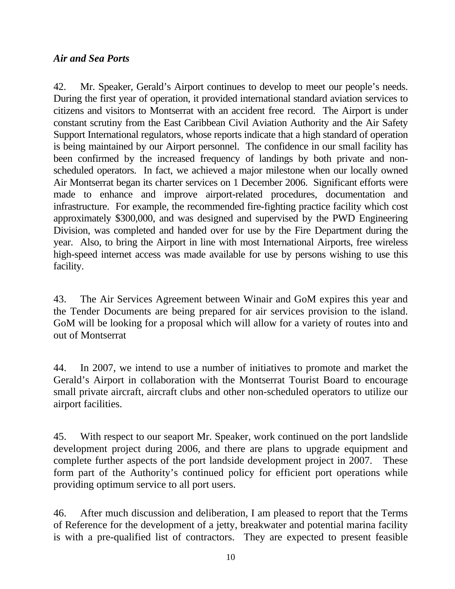## *Air and Sea Ports*

42. Mr. Speaker, Gerald's Airport continues to develop to meet our people's needs. During the first year of operation, it provided international standard aviation services to citizens and visitors to Montserrat with an accident free record. The Airport is under constant scrutiny from the East Caribbean Civil Aviation Authority and the Air Safety Support International regulators, whose reports indicate that a high standard of operation is being maintained by our Airport personnel. The confidence in our small facility has been confirmed by the increased frequency of landings by both private and nonscheduled operators. In fact, we achieved a major milestone when our locally owned Air Montserrat began its charter services on 1 December 2006. Significant efforts were made to enhance and improve airport-related procedures, documentation and infrastructure. For example, the recommended fire-fighting practice facility which cost approximately \$300,000, and was designed and supervised by the PWD Engineering Division, was completed and handed over for use by the Fire Department during the year. Also, to bring the Airport in line with most International Airports, free wireless high-speed internet access was made available for use by persons wishing to use this facility.

43. The Air Services Agreement between Winair and GoM expires this year and the Tender Documents are being prepared for air services provision to the island. GoM will be looking for a proposal which will allow for a variety of routes into and out of Montserrat

44. In 2007, we intend to use a number of initiatives to promote and market the Gerald's Airport in collaboration with the Montserrat Tourist Board to encourage small private aircraft, aircraft clubs and other non-scheduled operators to utilize our airport facilities.

45. With respect to our seaport Mr. Speaker, work continued on the port landslide development project during 2006, and there are plans to upgrade equipment and complete further aspects of the port landside development project in 2007. These form part of the Authority's continued policy for efficient port operations while providing optimum service to all port users.

46. After much discussion and deliberation, I am pleased to report that the Terms of Reference for the development of a jetty, breakwater and potential marina facility is with a pre-qualified list of contractors. They are expected to present feasible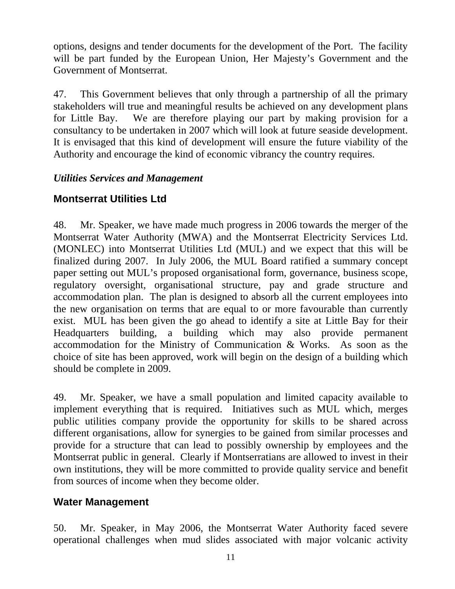options, designs and tender documents for the development of the Port. The facility will be part funded by the European Union, Her Majesty's Government and the Government of Montserrat.

47. This Government believes that only through a partnership of all the primary stakeholders will true and meaningful results be achieved on any development plans for Little Bay. We are therefore playing our part by making provision for a consultancy to be undertaken in 2007 which will look at future seaside development. It is envisaged that this kind of development will ensure the future viability of the Authority and encourage the kind of economic vibrancy the country requires.

## *Utilities Services and Management*

# **Montserrat Utilities Ltd**

48. Mr. Speaker, we have made much progress in 2006 towards the merger of the Montserrat Water Authority (MWA) and the Montserrat Electricity Services Ltd. (MONLEC) into Montserrat Utilities Ltd (MUL) and we expect that this will be finalized during 2007. In July 2006, the MUL Board ratified a summary concept paper setting out MUL's proposed organisational form, governance, business scope, regulatory oversight, organisational structure, pay and grade structure and accommodation plan. The plan is designed to absorb all the current employees into the new organisation on terms that are equal to or more favourable than currently exist. MUL has been given the go ahead to identify a site at Little Bay for their Headquarters building, a building which may also provide permanent accommodation for the Ministry of Communication & Works. As soon as the choice of site has been approved, work will begin on the design of a building which should be complete in 2009.

49. Mr. Speaker, we have a small population and limited capacity available to implement everything that is required. Initiatives such as MUL which, merges public utilities company provide the opportunity for skills to be shared across different organisations, allow for synergies to be gained from similar processes and provide for a structure that can lead to possibly ownership by employees and the Montserrat public in general. Clearly if Montserratians are allowed to invest in their own institutions, they will be more committed to provide quality service and benefit from sources of income when they become older.

# **Water Management**

50. Mr. Speaker, in May 2006, the Montserrat Water Authority faced severe operational challenges when mud slides associated with major volcanic activity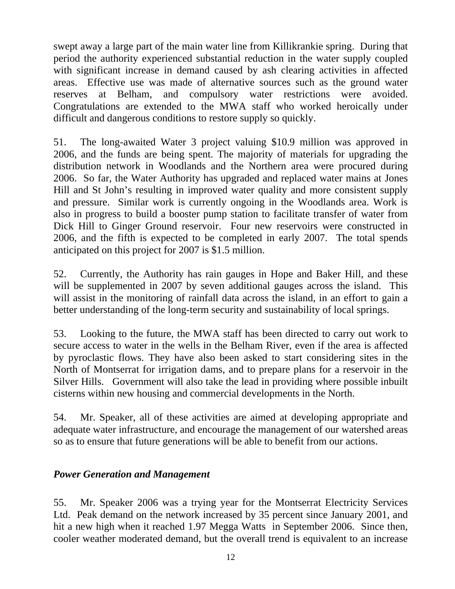swept away a large part of the main water line from Killikrankie spring. During that period the authority experienced substantial reduction in the water supply coupled with significant increase in demand caused by ash clearing activities in affected areas. Effective use was made of alternative sources such as the ground water reserves at Belham, and compulsory water restrictions were avoided. Congratulations are extended to the MWA staff who worked heroically under difficult and dangerous conditions to restore supply so quickly.

51. The long-awaited Water 3 project valuing \$10.9 million was approved in 2006, and the funds are being spent. The majority of materials for upgrading the distribution network in Woodlands and the Northern area were procured during 2006. So far, the Water Authority has upgraded and replaced water mains at Jones Hill and St John's resulting in improved water quality and more consistent supply and pressure. Similar work is currently ongoing in the Woodlands area. Work is also in progress to build a booster pump station to facilitate transfer of water from Dick Hill to Ginger Ground reservoir. Four new reservoirs were constructed in 2006, and the fifth is expected to be completed in early 2007. The total spends anticipated on this project for 2007 is \$1.5 million.

52. Currently, the Authority has rain gauges in Hope and Baker Hill, and these will be supplemented in 2007 by seven additional gauges across the island. This will assist in the monitoring of rainfall data across the island, in an effort to gain a better understanding of the long-term security and sustainability of local springs.

53. Looking to the future, the MWA staff has been directed to carry out work to secure access to water in the wells in the Belham River, even if the area is affected by pyroclastic flows. They have also been asked to start considering sites in the North of Montserrat for irrigation dams, and to prepare plans for a reservoir in the Silver Hills. Government will also take the lead in providing where possible inbuilt cisterns within new housing and commercial developments in the North.

54. Mr. Speaker, all of these activities are aimed at developing appropriate and adequate water infrastructure, and encourage the management of our watershed areas so as to ensure that future generations will be able to benefit from our actions.

### *Power Generation and Management*

55. Mr. Speaker 2006 was a trying year for the Montserrat Electricity Services Ltd. Peak demand on the network increased by 35 percent since January 2001, and hit a new high when it reached 1.97 Megga Watts in September 2006. Since then, cooler weather moderated demand, but the overall trend is equivalent to an increase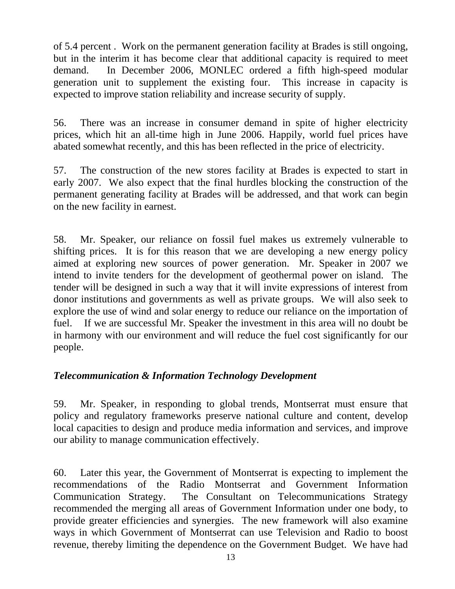of 5.4 percent . Work on the permanent generation facility at Brades is still ongoing, but in the interim it has become clear that additional capacity is required to meet demand. In December 2006, MONLEC ordered a fifth high-speed modular generation unit to supplement the existing four. This increase in capacity is expected to improve station reliability and increase security of supply.

56. There was an increase in consumer demand in spite of higher electricity prices, which hit an all-time high in June 2006. Happily, world fuel prices have abated somewhat recently, and this has been reflected in the price of electricity.

57. The construction of the new stores facility at Brades is expected to start in early 2007. We also expect that the final hurdles blocking the construction of the permanent generating facility at Brades will be addressed, and that work can begin on the new facility in earnest.

58. Mr. Speaker, our reliance on fossil fuel makes us extremely vulnerable to shifting prices. It is for this reason that we are developing a new energy policy aimed at exploring new sources of power generation. Mr. Speaker in 2007 we intend to invite tenders for the development of geothermal power on island. The tender will be designed in such a way that it will invite expressions of interest from donor institutions and governments as well as private groups. We will also seek to explore the use of wind and solar energy to reduce our reliance on the importation of fuel. If we are successful Mr. Speaker the investment in this area will no doubt be in harmony with our environment and will reduce the fuel cost significantly for our people.

## *Telecommunication & Information Technology Development*

59. Mr. Speaker, in responding to global trends, Montserrat must ensure that policy and regulatory frameworks preserve national culture and content, develop local capacities to design and produce media information and services, and improve our ability to manage communication effectively.

60. Later this year, the Government of Montserrat is expecting to implement the recommendations of the Radio Montserrat and Government Information Communication Strategy. The Consultant on Telecommunications Strategy recommended the merging all areas of Government Information under one body, to provide greater efficiencies and synergies. The new framework will also examine ways in which Government of Montserrat can use Television and Radio to boost revenue, thereby limiting the dependence on the Government Budget. We have had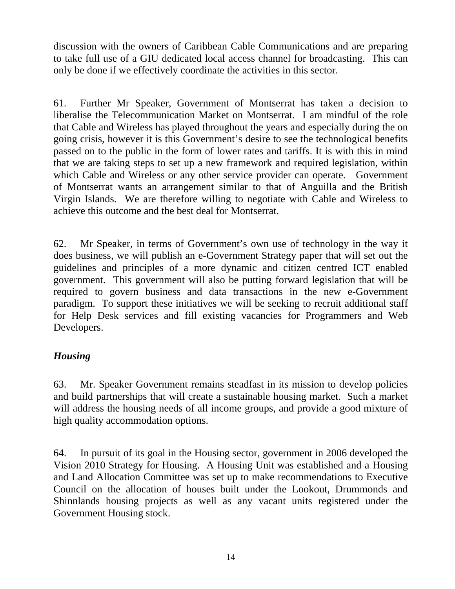discussion with the owners of Caribbean Cable Communications and are preparing to take full use of a GIU dedicated local access channel for broadcasting. This can only be done if we effectively coordinate the activities in this sector.

61. Further Mr Speaker, Government of Montserrat has taken a decision to liberalise the Telecommunication Market on Montserrat. I am mindful of the role that Cable and Wireless has played throughout the years and especially during the on going crisis, however it is this Government's desire to see the technological benefits passed on to the public in the form of lower rates and tariffs. It is with this in mind that we are taking steps to set up a new framework and required legislation, within which Cable and Wireless or any other service provider can operate. Government of Montserrat wants an arrangement similar to that of Anguilla and the British Virgin Islands. We are therefore willing to negotiate with Cable and Wireless to achieve this outcome and the best deal for Montserrat.

62. Mr Speaker, in terms of Government's own use of technology in the way it does business, we will publish an e-Government Strategy paper that will set out the guidelines and principles of a more dynamic and citizen centred ICT enabled government. This government will also be putting forward legislation that will be required to govern business and data transactions in the new e-Government paradigm. To support these initiatives we will be seeking to recruit additional staff for Help Desk services and fill existing vacancies for Programmers and Web Developers.

## *Housing*

63. Mr. Speaker Government remains steadfast in its mission to develop policies and build partnerships that will create a sustainable housing market. Such a market will address the housing needs of all income groups, and provide a good mixture of high quality accommodation options.

64. In pursuit of its goal in the Housing sector, government in 2006 developed the Vision 2010 Strategy for Housing. A Housing Unit was established and a Housing and Land Allocation Committee was set up to make recommendations to Executive Council on the allocation of houses built under the Lookout, Drummonds and Shinnlands housing projects as well as any vacant units registered under the Government Housing stock.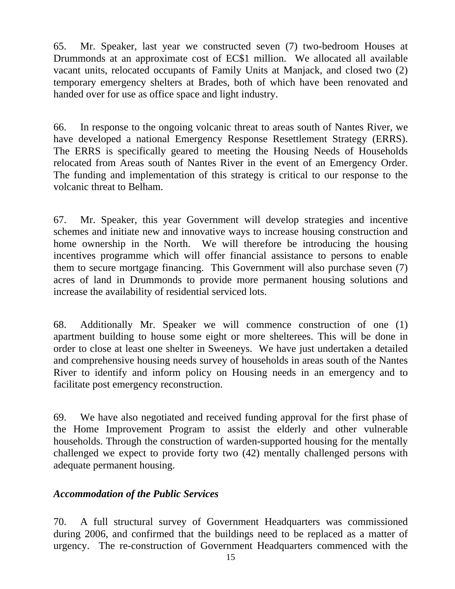65. Mr. Speaker, last year we constructed seven (7) two-bedroom Houses at Drummonds at an approximate cost of EC\$1 million. We allocated all available vacant units, relocated occupants of Family Units at Manjack, and closed two (2) temporary emergency shelters at Brades, both of which have been renovated and handed over for use as office space and light industry.

66. In response to the ongoing volcanic threat to areas south of Nantes River, we have developed a national Emergency Response Resettlement Strategy (ERRS). The ERRS is specifically geared to meeting the Housing Needs of Households relocated from Areas south of Nantes River in the event of an Emergency Order. The funding and implementation of this strategy is critical to our response to the volcanic threat to Belham.

67. Mr. Speaker, this year Government will develop strategies and incentive schemes and initiate new and innovative ways to increase housing construction and home ownership in the North. We will therefore be introducing the housing incentives programme which will offer financial assistance to persons to enable them to secure mortgage financing. This Government will also purchase seven (7) acres of land in Drummonds to provide more permanent housing solutions and increase the availability of residential serviced lots.

68. Additionally Mr. Speaker we will commence construction of one (1) apartment building to house some eight or more shelterees. This will be done in order to close at least one shelter in Sweeneys. We have just undertaken a detailed and comprehensive housing needs survey of households in areas south of the Nantes River to identify and inform policy on Housing needs in an emergency and to facilitate post emergency reconstruction.

69. We have also negotiated and received funding approval for the first phase of the Home Improvement Program to assist the elderly and other vulnerable households. Through the construction of warden-supported housing for the mentally challenged we expect to provide forty two (42) mentally challenged persons with adequate permanent housing.

### *Accommodation of the Public Services*

70. A full structural survey of Government Headquarters was commissioned during 2006, and confirmed that the buildings need to be replaced as a matter of urgency. The re-construction of Government Headquarters commenced with the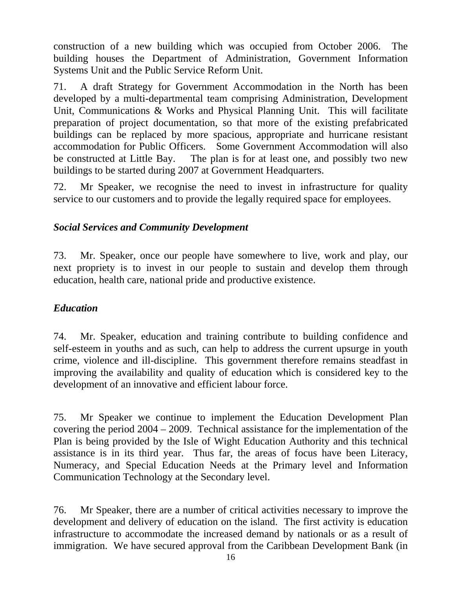construction of a new building which was occupied from October 2006. The building houses the Department of Administration, Government Information Systems Unit and the Public Service Reform Unit.

71. A draft Strategy for Government Accommodation in the North has been developed by a multi-departmental team comprising Administration, Development Unit, Communications & Works and Physical Planning Unit. This will facilitate preparation of project documentation, so that more of the existing prefabricated buildings can be replaced by more spacious, appropriate and hurricane resistant accommodation for Public Officers. Some Government Accommodation will also be constructed at Little Bay. The plan is for at least one, and possibly two new buildings to be started during 2007 at Government Headquarters.

72. Mr Speaker, we recognise the need to invest in infrastructure for quality service to our customers and to provide the legally required space for employees.

## *Social Services and Community Development*

73. Mr. Speaker, once our people have somewhere to live, work and play, our next propriety is to invest in our people to sustain and develop them through education, health care, national pride and productive existence.

### *Education*

74. Mr. Speaker, education and training contribute to building confidence and self-esteem in youths and as such, can help to address the current upsurge in youth crime, violence and ill-discipline. This government therefore remains steadfast in improving the availability and quality of education which is considered key to the development of an innovative and efficient labour force.

75. Mr Speaker we continue to implement the Education Development Plan covering the period 2004 – 2009. Technical assistance for the implementation of the Plan is being provided by the Isle of Wight Education Authority and this technical assistance is in its third year. Thus far, the areas of focus have been Literacy, Numeracy, and Special Education Needs at the Primary level and Information Communication Technology at the Secondary level.

76. Mr Speaker, there are a number of critical activities necessary to improve the development and delivery of education on the island. The first activity is education infrastructure to accommodate the increased demand by nationals or as a result of immigration. We have secured approval from the Caribbean Development Bank (in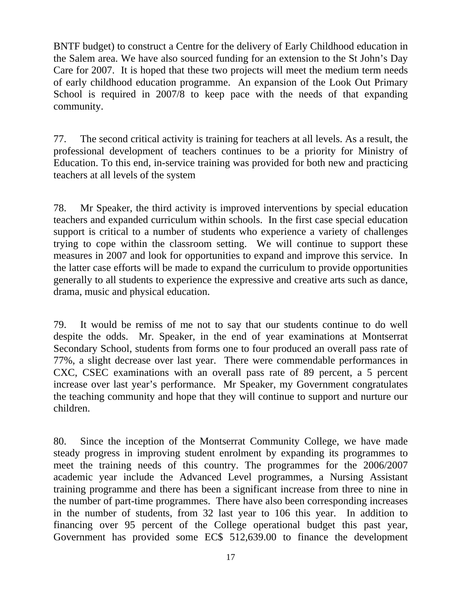BNTF budget) to construct a Centre for the delivery of Early Childhood education in the Salem area. We have also sourced funding for an extension to the St John's Day Care for 2007. It is hoped that these two projects will meet the medium term needs of early childhood education programme. An expansion of the Look Out Primary School is required in 2007/8 to keep pace with the needs of that expanding community.

77. The second critical activity is training for teachers at all levels. As a result, the professional development of teachers continues to be a priority for Ministry of Education. To this end, in-service training was provided for both new and practicing teachers at all levels of the system

78. Mr Speaker, the third activity is improved interventions by special education teachers and expanded curriculum within schools. In the first case special education support is critical to a number of students who experience a variety of challenges trying to cope within the classroom setting. We will continue to support these measures in 2007 and look for opportunities to expand and improve this service. In the latter case efforts will be made to expand the curriculum to provide opportunities generally to all students to experience the expressive and creative arts such as dance, drama, music and physical education.

79. It would be remiss of me not to say that our students continue to do well despite the odds. Mr. Speaker, in the end of year examinations at Montserrat Secondary School, students from forms one to four produced an overall pass rate of 77%, a slight decrease over last year. There were commendable performances in CXC, CSEC examinations with an overall pass rate of 89 percent, a 5 percent increase over last year's performance. Mr Speaker, my Government congratulates the teaching community and hope that they will continue to support and nurture our children.

80. Since the inception of the Montserrat Community College, we have made steady progress in improving student enrolment by expanding its programmes to meet the training needs of this country. The programmes for the 2006/2007 academic year include the Advanced Level programmes, a Nursing Assistant training programme and there has been a significant increase from three to nine in the number of part-time programmes. There have also been corresponding increases in the number of students, from 32 last year to 106 this year. In addition to financing over 95 percent of the College operational budget this past year, Government has provided some EC\$ 512,639.00 to finance the development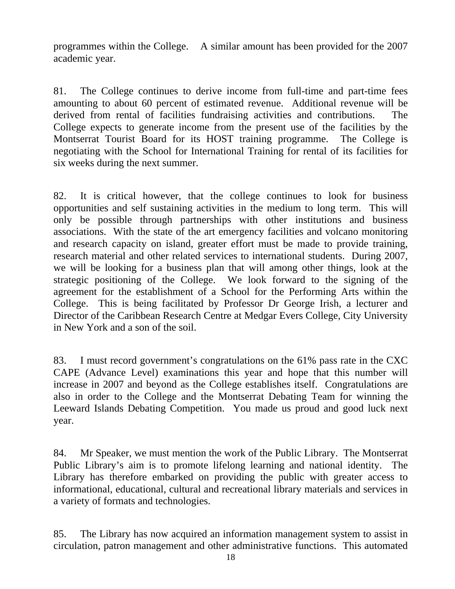programmes within the College. A similar amount has been provided for the 2007 academic year.

81. The College continues to derive income from full-time and part-time fees amounting to about 60 percent of estimated revenue. Additional revenue will be derived from rental of facilities fundraising activities and contributions. The College expects to generate income from the present use of the facilities by the Montserrat Tourist Board for its HOST training programme. The College is negotiating with the School for International Training for rental of its facilities for six weeks during the next summer.

82. It is critical however, that the college continues to look for business opportunities and self sustaining activities in the medium to long term. This will only be possible through partnerships with other institutions and business associations. With the state of the art emergency facilities and volcano monitoring and research capacity on island, greater effort must be made to provide training, research material and other related services to international students. During 2007, we will be looking for a business plan that will among other things, look at the strategic positioning of the College. We look forward to the signing of the agreement for the establishment of a School for the Performing Arts within the College. This is being facilitated by Professor Dr George Irish, a lecturer and Director of the Caribbean Research Centre at Medgar Evers College, City University in New York and a son of the soil.

83. I must record government's congratulations on the 61% pass rate in the CXC CAPE (Advance Level) examinations this year and hope that this number will increase in 2007 and beyond as the College establishes itself. Congratulations are also in order to the College and the Montserrat Debating Team for winning the Leeward Islands Debating Competition. You made us proud and good luck next year.

84. Mr Speaker, we must mention the work of the Public Library. The Montserrat Public Library's aim is to promote lifelong learning and national identity. The Library has therefore embarked on providing the public with greater access to informational, educational, cultural and recreational library materials and services in a variety of formats and technologies.

85. The Library has now acquired an information management system to assist in circulation, patron management and other administrative functions. This automated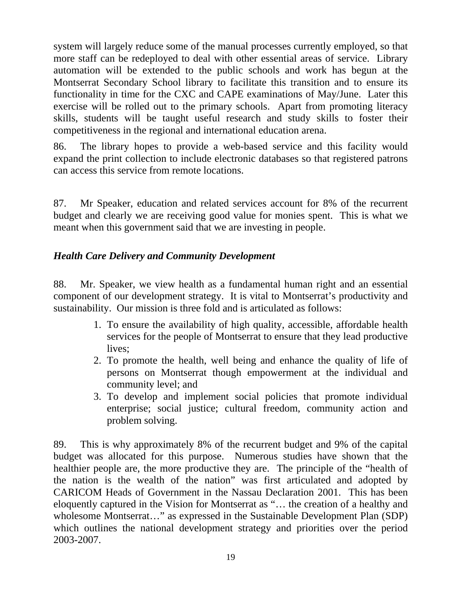system will largely reduce some of the manual processes currently employed, so that more staff can be redeployed to deal with other essential areas of service. Library automation will be extended to the public schools and work has begun at the Montserrat Secondary School library to facilitate this transition and to ensure its functionality in time for the CXC and CAPE examinations of May/June. Later this exercise will be rolled out to the primary schools. Apart from promoting literacy skills, students will be taught useful research and study skills to foster their competitiveness in the regional and international education arena.

86. The library hopes to provide a web-based service and this facility would expand the print collection to include electronic databases so that registered patrons can access this service from remote locations.

87. Mr Speaker, education and related services account for 8% of the recurrent budget and clearly we are receiving good value for monies spent. This is what we meant when this government said that we are investing in people.

## *Health Care Delivery and Community Development*

88. Mr. Speaker, we view health as a fundamental human right and an essential component of our development strategy. It is vital to Montserrat's productivity and sustainability. Our mission is three fold and is articulated as follows:

- 1. To ensure the availability of high quality, accessible, affordable health services for the people of Montserrat to ensure that they lead productive lives;
- 2. To promote the health, well being and enhance the quality of life of persons on Montserrat though empowerment at the individual and community level; and
- 3. To develop and implement social policies that promote individual enterprise; social justice; cultural freedom, community action and problem solving.

89. This is why approximately 8% of the recurrent budget and 9% of the capital budget was allocated for this purpose. Numerous studies have shown that the healthier people are, the more productive they are. The principle of the "health of the nation is the wealth of the nation" was first articulated and adopted by CARICOM Heads of Government in the Nassau Declaration 2001. This has been eloquently captured in the Vision for Montserrat as "… the creation of a healthy and wholesome Montserrat…" as expressed in the Sustainable Development Plan (SDP) which outlines the national development strategy and priorities over the period 2003-2007.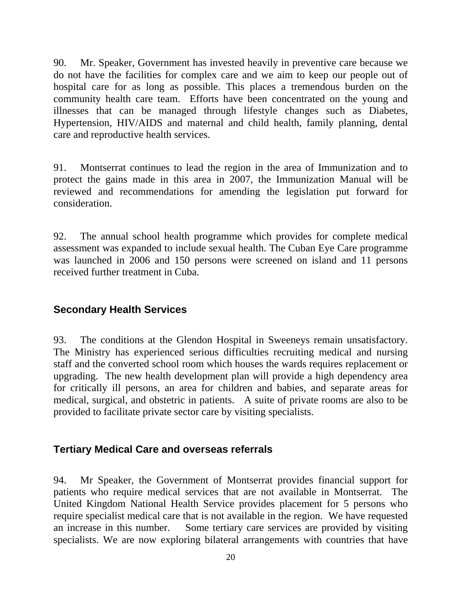90. Mr. Speaker, Government has invested heavily in preventive care because we do not have the facilities for complex care and we aim to keep our people out of hospital care for as long as possible. This places a tremendous burden on the community health care team. Efforts have been concentrated on the young and illnesses that can be managed through lifestyle changes such as Diabetes, Hypertension, HIV/AIDS and maternal and child health, family planning, dental care and reproductive health services.

91. Montserrat continues to lead the region in the area of Immunization and to protect the gains made in this area in 2007, the Immunization Manual will be reviewed and recommendations for amending the legislation put forward for consideration.

92. The annual school health programme which provides for complete medical assessment was expanded to include sexual health. The Cuban Eye Care programme was launched in 2006 and 150 persons were screened on island and 11 persons received further treatment in Cuba.

## **Secondary Health Services**

93. The conditions at the Glendon Hospital in Sweeneys remain unsatisfactory. The Ministry has experienced serious difficulties recruiting medical and nursing staff and the converted school room which houses the wards requires replacement or upgrading. The new health development plan will provide a high dependency area for critically ill persons, an area for children and babies, and separate areas for medical, surgical, and obstetric in patients. A suite of private rooms are also to be provided to facilitate private sector care by visiting specialists.

### **Tertiary Medical Care and overseas referrals**

94. Mr Speaker, the Government of Montserrat provides financial support for patients who require medical services that are not available in Montserrat. The United Kingdom National Health Service provides placement for 5 persons who require specialist medical care that is not available in the region. We have requested an increase in this number. Some tertiary care services are provided by visiting specialists. We are now exploring bilateral arrangements with countries that have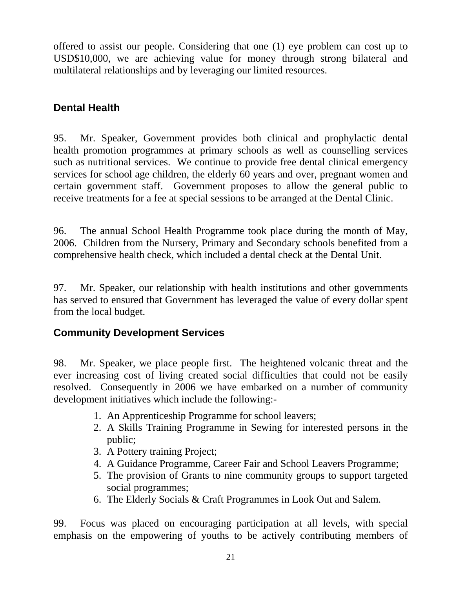offered to assist our people. Considering that one (1) eye problem can cost up to USD\$10,000, we are achieving value for money through strong bilateral and multilateral relationships and by leveraging our limited resources.

# **Dental Health**

95. Mr. Speaker, Government provides both clinical and prophylactic dental health promotion programmes at primary schools as well as counselling services such as nutritional services. We continue to provide free dental clinical emergency services for school age children, the elderly 60 years and over, pregnant women and certain government staff. Government proposes to allow the general public to receive treatments for a fee at special sessions to be arranged at the Dental Clinic.

96. The annual School Health Programme took place during the month of May, 2006. Children from the Nursery, Primary and Secondary schools benefited from a comprehensive health check, which included a dental check at the Dental Unit.

97. Mr. Speaker, our relationship with health institutions and other governments has served to ensured that Government has leveraged the value of every dollar spent from the local budget.

# **Community Development Services**

98. Mr. Speaker, we place people first. The heightened volcanic threat and the ever increasing cost of living created social difficulties that could not be easily resolved. Consequently in 2006 we have embarked on a number of community development initiatives which include the following:-

- 1. An Apprenticeship Programme for school leavers;
- 2. A Skills Training Programme in Sewing for interested persons in the public;
- 3. A Pottery training Project;
- 4. A Guidance Programme, Career Fair and School Leavers Programme;
- 5. The provision of Grants to nine community groups to support targeted social programmes;
- 6. The Elderly Socials & Craft Programmes in Look Out and Salem.

99. Focus was placed on encouraging participation at all levels, with special emphasis on the empowering of youths to be actively contributing members of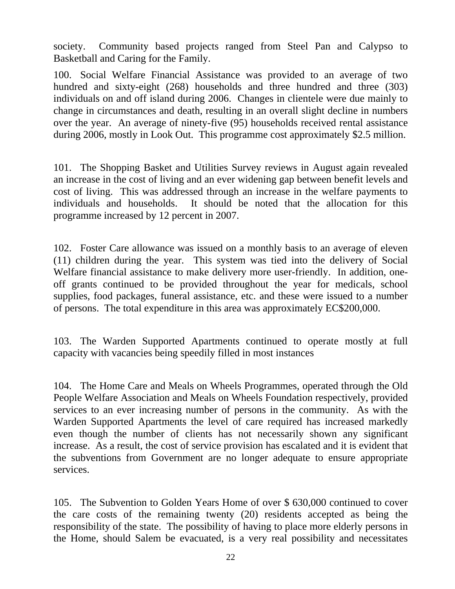society. Community based projects ranged from Steel Pan and Calypso to Basketball and Caring for the Family.

100. Social Welfare Financial Assistance was provided to an average of two hundred and sixty-eight (268) households and three hundred and three (303) individuals on and off island during 2006. Changes in clientele were due mainly to change in circumstances and death, resulting in an overall slight decline in numbers over the year. An average of ninety-five (95) households received rental assistance during 2006, mostly in Look Out. This programme cost approximately \$2.5 million.

101. The Shopping Basket and Utilities Survey reviews in August again revealed an increase in the cost of living and an ever widening gap between benefit levels and cost of living. This was addressed through an increase in the welfare payments to individuals and households. It should be noted that the allocation for this programme increased by 12 percent in 2007.

102. Foster Care allowance was issued on a monthly basis to an average of eleven (11) children during the year. This system was tied into the delivery of Social Welfare financial assistance to make delivery more user-friendly. In addition, oneoff grants continued to be provided throughout the year for medicals, school supplies, food packages, funeral assistance, etc. and these were issued to a number of persons. The total expenditure in this area was approximately EC\$200,000.

103. The Warden Supported Apartments continued to operate mostly at full capacity with vacancies being speedily filled in most instances

104. The Home Care and Meals on Wheels Programmes, operated through the Old People Welfare Association and Meals on Wheels Foundation respectively, provided services to an ever increasing number of persons in the community. As with the Warden Supported Apartments the level of care required has increased markedly even though the number of clients has not necessarily shown any significant increase. As a result, the cost of service provision has escalated and it is evident that the subventions from Government are no longer adequate to ensure appropriate services.

105. The Subvention to Golden Years Home of over \$ 630,000 continued to cover the care costs of the remaining twenty (20) residents accepted as being the responsibility of the state. The possibility of having to place more elderly persons in the Home, should Salem be evacuated, is a very real possibility and necessitates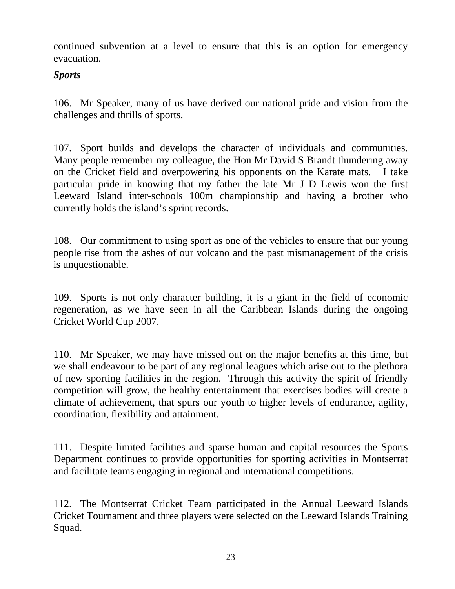continued subvention at a level to ensure that this is an option for emergency evacuation.

## *Sports*

106. Mr Speaker, many of us have derived our national pride and vision from the challenges and thrills of sports.

107. Sport builds and develops the character of individuals and communities. Many people remember my colleague, the Hon Mr David S Brandt thundering away on the Cricket field and overpowering his opponents on the Karate mats. I take particular pride in knowing that my father the late Mr J D Lewis won the first Leeward Island inter-schools 100m championship and having a brother who currently holds the island's sprint records.

108. Our commitment to using sport as one of the vehicles to ensure that our young people rise from the ashes of our volcano and the past mismanagement of the crisis is unquestionable.

109. Sports is not only character building, it is a giant in the field of economic regeneration, as we have seen in all the Caribbean Islands during the ongoing Cricket World Cup 2007.

110. Mr Speaker, we may have missed out on the major benefits at this time, but we shall endeavour to be part of any regional leagues which arise out to the plethora of new sporting facilities in the region. Through this activity the spirit of friendly competition will grow, the healthy entertainment that exercises bodies will create a climate of achievement, that spurs our youth to higher levels of endurance, agility, coordination, flexibility and attainment.

111. Despite limited facilities and sparse human and capital resources the Sports Department continues to provide opportunities for sporting activities in Montserrat and facilitate teams engaging in regional and international competitions.

112. The Montserrat Cricket Team participated in the Annual Leeward Islands Cricket Tournament and three players were selected on the Leeward Islands Training Squad.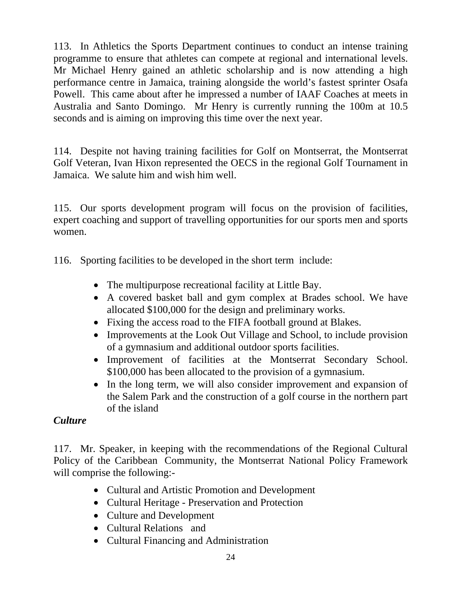113. In Athletics the Sports Department continues to conduct an intense training programme to ensure that athletes can compete at regional and international levels. Mr Michael Henry gained an athletic scholarship and is now attending a high performance centre in Jamaica, training alongside the world's fastest sprinter Osafa Powell. This came about after he impressed a number of IAAF Coaches at meets in Australia and Santo Domingo. Mr Henry is currently running the 100m at 10.5 seconds and is aiming on improving this time over the next year.

114. Despite not having training facilities for Golf on Montserrat, the Montserrat Golf Veteran, Ivan Hixon represented the OECS in the regional Golf Tournament in Jamaica. We salute him and wish him well.

115. Our sports development program will focus on the provision of facilities, expert coaching and support of travelling opportunities for our sports men and sports women.

116. Sporting facilities to be developed in the short term include:

- The multipurpose recreational facility at Little Bay.
- A covered basket ball and gym complex at Brades school. We have allocated \$100,000 for the design and preliminary works.
- Fixing the access road to the FIFA football ground at Blakes.
- Improvements at the Look Out Village and School, to include provision of a gymnasium and additional outdoor sports facilities.
- Improvement of facilities at the Montserrat Secondary School. \$100,000 has been allocated to the provision of a gymnasium.
- In the long term, we will also consider improvement and expansion of the Salem Park and the construction of a golf course in the northern part of the island

# *Culture*

117. Mr. Speaker, in keeping with the recommendations of the Regional Cultural Policy of the Caribbean Community, the Montserrat National Policy Framework will comprise the following:-

- Cultural and Artistic Promotion and Development
- Cultural Heritage Preservation and Protection
- Culture and Development
- Cultural Relations and
- Cultural Financing and Administration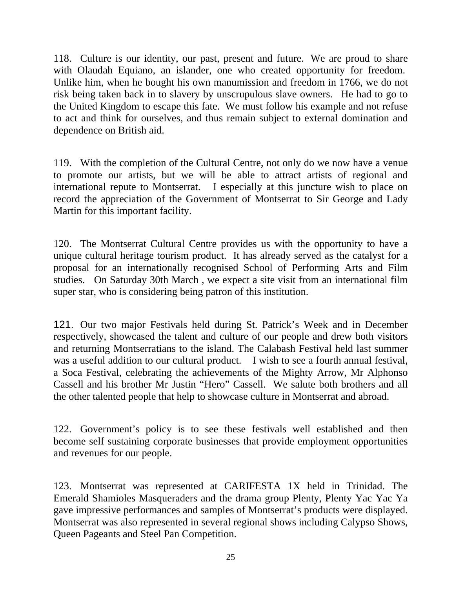118. Culture is our identity, our past, present and future. We are proud to share with Olaudah Equiano, an islander, one who created opportunity for freedom. Unlike him, when he bought his own manumission and freedom in 1766, we do not risk being taken back in to slavery by unscrupulous slave owners. He had to go to the United Kingdom to escape this fate. We must follow his example and not refuse to act and think for ourselves, and thus remain subject to external domination and dependence on British aid.

119. With the completion of the Cultural Centre, not only do we now have a venue to promote our artists, but we will be able to attract artists of regional and international repute to Montserrat. I especially at this juncture wish to place on record the appreciation of the Government of Montserrat to Sir George and Lady Martin for this important facility.

120. The Montserrat Cultural Centre provides us with the opportunity to have a unique cultural heritage tourism product. It has already served as the catalyst for a proposal for an internationally recognised School of Performing Arts and Film studies. On Saturday 30th March , we expect a site visit from an international film super star, who is considering being patron of this institution.

121. Our two major Festivals held during St. Patrick's Week and in December respectively, showcased the talent and culture of our people and drew both visitors and returning Montserratians to the island. The Calabash Festival held last summer was a useful addition to our cultural product. I wish to see a fourth annual festival, a Soca Festival, celebrating the achievements of the Mighty Arrow, Mr Alphonso Cassell and his brother Mr Justin "Hero" Cassell. We salute both brothers and all the other talented people that help to showcase culture in Montserrat and abroad.

122. Government's policy is to see these festivals well established and then become self sustaining corporate businesses that provide employment opportunities and revenues for our people.

123. Montserrat was represented at CARIFESTA 1X held in Trinidad. The Emerald Shamioles Masqueraders and the drama group Plenty, Plenty Yac Yac Ya gave impressive performances and samples of Montserrat's products were displayed. Montserrat was also represented in several regional shows including Calypso Shows, Queen Pageants and Steel Pan Competition.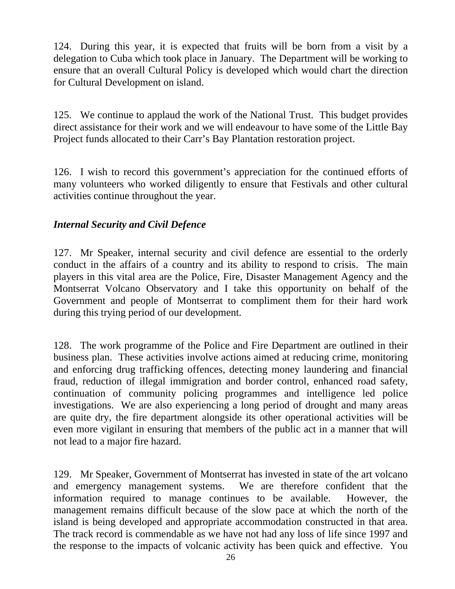124. During this year, it is expected that fruits will be born from a visit by a delegation to Cuba which took place in January. The Department will be working to ensure that an overall Cultural Policy is developed which would chart the direction for Cultural Development on island.

125. We continue to applaud the work of the National Trust. This budget provides direct assistance for their work and we will endeavour to have some of the Little Bay Project funds allocated to their Carr's Bay Plantation restoration project.

126. I wish to record this government's appreciation for the continued efforts of many volunteers who worked diligently to ensure that Festivals and other cultural activities continue throughout the year.

## *Internal Security and Civil Defence*

127. Mr Speaker, internal security and civil defence are essential to the orderly conduct in the affairs of a country and its ability to respond to crisis. The main players in this vital area are the Police, Fire, Disaster Management Agency and the Montserrat Volcano Observatory and I take this opportunity on behalf of the Government and people of Montserrat to compliment them for their hard work during this trying period of our development.

128. The work programme of the Police and Fire Department are outlined in their business plan. These activities involve actions aimed at reducing crime, monitoring and enforcing drug trafficking offences, detecting money laundering and financial fraud, reduction of illegal immigration and border control, enhanced road safety, continuation of community policing programmes and intelligence led police investigations. We are also experiencing a long period of drought and many areas are quite dry, the fire department alongside its other operational activities will be even more vigilant in ensuring that members of the public act in a manner that will not lead to a major fire hazard.

129. Mr Speaker, Government of Montserrat has invested in state of the art volcano and emergency management systems. We are therefore confident that the information required to manage continues to be available. However, the management remains difficult because of the slow pace at which the north of the island is being developed and appropriate accommodation constructed in that area. The track record is commendable as we have not had any loss of life since 1997 and the response to the impacts of volcanic activity has been quick and effective. You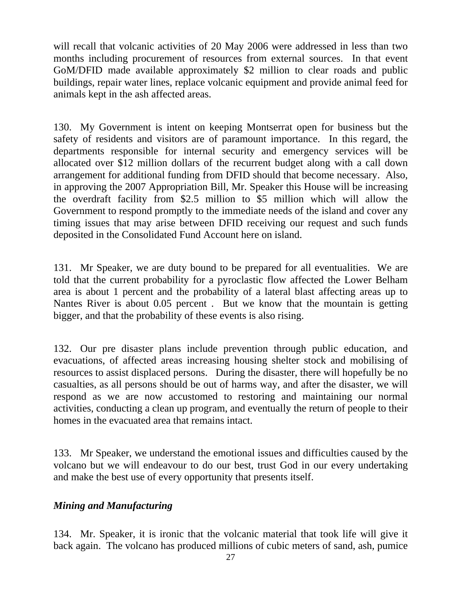will recall that volcanic activities of 20 May 2006 were addressed in less than two months including procurement of resources from external sources. In that event GoM/DFID made available approximately \$2 million to clear roads and public buildings, repair water lines, replace volcanic equipment and provide animal feed for animals kept in the ash affected areas.

130. My Government is intent on keeping Montserrat open for business but the safety of residents and visitors are of paramount importance. In this regard, the departments responsible for internal security and emergency services will be allocated over \$12 million dollars of the recurrent budget along with a call down arrangement for additional funding from DFID should that become necessary. Also, in approving the 2007 Appropriation Bill, Mr. Speaker this House will be increasing the overdraft facility from \$2.5 million to \$5 million which will allow the Government to respond promptly to the immediate needs of the island and cover any timing issues that may arise between DFID receiving our request and such funds deposited in the Consolidated Fund Account here on island.

131. Mr Speaker, we are duty bound to be prepared for all eventualities. We are told that the current probability for a pyroclastic flow affected the Lower Belham area is about 1 percent and the probability of a lateral blast affecting areas up to Nantes River is about 0.05 percent . But we know that the mountain is getting bigger, and that the probability of these events is also rising.

132. Our pre disaster plans include prevention through public education, and evacuations, of affected areas increasing housing shelter stock and mobilising of resources to assist displaced persons. During the disaster, there will hopefully be no casualties, as all persons should be out of harms way, and after the disaster, we will respond as we are now accustomed to restoring and maintaining our normal activities, conducting a clean up program, and eventually the return of people to their homes in the evacuated area that remains intact.

133. Mr Speaker, we understand the emotional issues and difficulties caused by the volcano but we will endeavour to do our best, trust God in our every undertaking and make the best use of every opportunity that presents itself.

### *Mining and Manufacturing*

134. Mr. Speaker, it is ironic that the volcanic material that took life will give it back again. The volcano has produced millions of cubic meters of sand, ash, pumice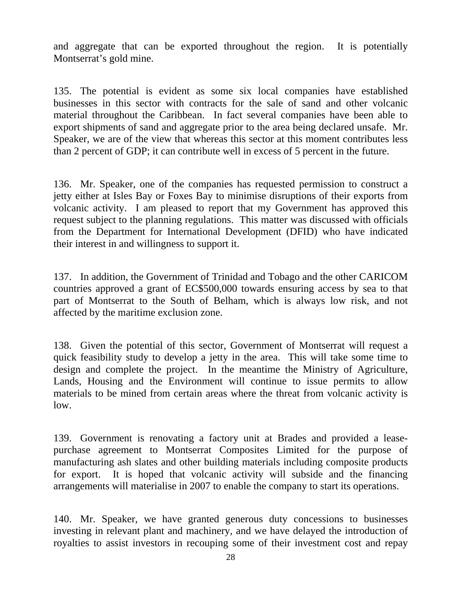and aggregate that can be exported throughout the region. It is potentially Montserrat's gold mine.

135. The potential is evident as some six local companies have established businesses in this sector with contracts for the sale of sand and other volcanic material throughout the Caribbean. In fact several companies have been able to export shipments of sand and aggregate prior to the area being declared unsafe. Mr. Speaker, we are of the view that whereas this sector at this moment contributes less than 2 percent of GDP; it can contribute well in excess of 5 percent in the future.

136. Mr. Speaker, one of the companies has requested permission to construct a jetty either at Isles Bay or Foxes Bay to minimise disruptions of their exports from volcanic activity. I am pleased to report that my Government has approved this request subject to the planning regulations. This matter was discussed with officials from the Department for International Development (DFID) who have indicated their interest in and willingness to support it.

137. In addition, the Government of Trinidad and Tobago and the other CARICOM countries approved a grant of EC\$500,000 towards ensuring access by sea to that part of Montserrat to the South of Belham, which is always low risk, and not affected by the maritime exclusion zone.

138. Given the potential of this sector, Government of Montserrat will request a quick feasibility study to develop a jetty in the area. This will take some time to design and complete the project. In the meantime the Ministry of Agriculture, Lands, Housing and the Environment will continue to issue permits to allow materials to be mined from certain areas where the threat from volcanic activity is low.

139. Government is renovating a factory unit at Brades and provided a leasepurchase agreement to Montserrat Composites Limited for the purpose of manufacturing ash slates and other building materials including composite products for export. It is hoped that volcanic activity will subside and the financing arrangements will materialise in 2007 to enable the company to start its operations.

140. Mr. Speaker, we have granted generous duty concessions to businesses investing in relevant plant and machinery, and we have delayed the introduction of royalties to assist investors in recouping some of their investment cost and repay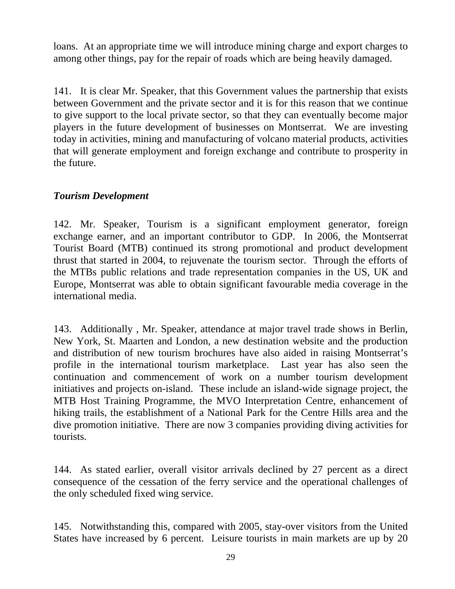loans. At an appropriate time we will introduce mining charge and export charges to among other things, pay for the repair of roads which are being heavily damaged.

141. It is clear Mr. Speaker, that this Government values the partnership that exists between Government and the private sector and it is for this reason that we continue to give support to the local private sector, so that they can eventually become major players in the future development of businesses on Montserrat. We are investing today in activities, mining and manufacturing of volcano material products, activities that will generate employment and foreign exchange and contribute to prosperity in the future.

## *Tourism Development*

142. Mr. Speaker, Tourism is a significant employment generator, foreign exchange earner, and an important contributor to GDP. In 2006, the Montserrat Tourist Board (MTB) continued its strong promotional and product development thrust that started in 2004, to rejuvenate the tourism sector. Through the efforts of the MTBs public relations and trade representation companies in the US, UK and Europe, Montserrat was able to obtain significant favourable media coverage in the international media.

143. Additionally , Mr. Speaker, attendance at major travel trade shows in Berlin, New York, St. Maarten and London, a new destination website and the production and distribution of new tourism brochures have also aided in raising Montserrat's profile in the international tourism marketplace. Last year has also seen the continuation and commencement of work on a number tourism development initiatives and projects on-island. These include an island-wide signage project, the MTB Host Training Programme, the MVO Interpretation Centre, enhancement of hiking trails, the establishment of a National Park for the Centre Hills area and the dive promotion initiative. There are now 3 companies providing diving activities for tourists.

144. As stated earlier, overall visitor arrivals declined by 27 percent as a direct consequence of the cessation of the ferry service and the operational challenges of the only scheduled fixed wing service.

145. Notwithstanding this, compared with 2005, stay-over visitors from the United States have increased by 6 percent. Leisure tourists in main markets are up by 20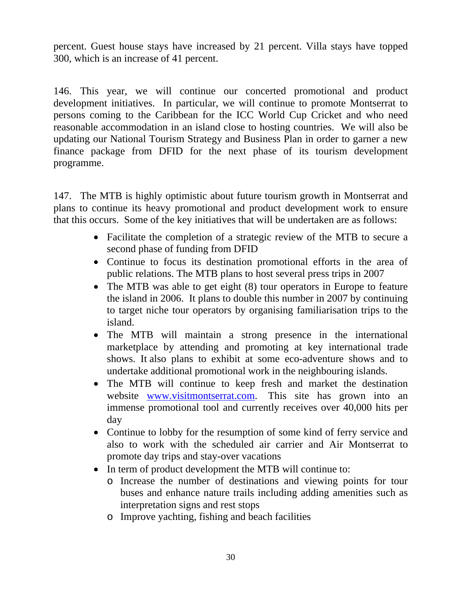percent. Guest house stays have increased by 21 percent. Villa stays have topped 300, which is an increase of 41 percent.

146. This year, we will continue our concerted promotional and product development initiatives. In particular, we will continue to promote Montserrat to persons coming to the Caribbean for the ICC World Cup Cricket and who need reasonable accommodation in an island close to hosting countries. We will also be updating our National Tourism Strategy and Business Plan in order to garner a new finance package from DFID for the next phase of its tourism development programme.

147. The MTB is highly optimistic about future tourism growth in Montserrat and plans to continue its heavy promotional and product development work to ensure that this occurs. Some of the key initiatives that will be undertaken are as follows:

- Facilitate the completion of a strategic review of the MTB to secure a second phase of funding from DFID
- Continue to focus its destination promotional efforts in the area of public relations. The MTB plans to host several press trips in 2007
- The MTB was able to get eight (8) tour operators in Europe to feature the island in 2006. It plans to double this number in 2007 by continuing to target niche tour operators by organising familiarisation trips to the island.
- The MTB will maintain a strong presence in the international marketplace by attending and promoting at key international trade shows. It also plans to exhibit at some eco-adventure shows and to undertake additional promotional work in the neighbouring islands.
- The MTB will continue to keep fresh and market the destination website [www.visitmontserrat.com](http://www.visitmontserrat.com/). This site has grown into an immense promotional tool and currently receives over 40,000 hits per day
- Continue to lobby for the resumption of some kind of ferry service and also to work with the scheduled air carrier and Air Montserrat to promote day trips and stay-over vacations
- In term of product development the MTB will continue to:
	- o Increase the number of destinations and viewing points for tour buses and enhance nature trails including adding amenities such as interpretation signs and rest stops
	- o Improve yachting, fishing and beach facilities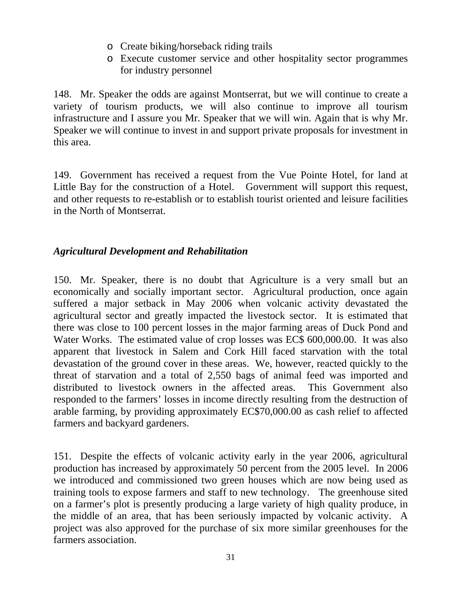- o Create biking/horseback riding trails
- o Execute customer service and other hospitality sector programmes for industry personnel

148. Mr. Speaker the odds are against Montserrat, but we will continue to create a variety of tourism products, we will also continue to improve all tourism infrastructure and I assure you Mr. Speaker that we will win. Again that is why Mr. Speaker we will continue to invest in and support private proposals for investment in this area.

149. Government has received a request from the Vue Pointe Hotel, for land at Little Bay for the construction of a Hotel. Government will support this request, and other requests to re-establish or to establish tourist oriented and leisure facilities in the North of Montserrat.

## *Agricultural Development and Rehabilitation*

150. Mr. Speaker, there is no doubt that Agriculture is a very small but an economically and socially important sector. Agricultural production, once again suffered a major setback in May 2006 when volcanic activity devastated the agricultural sector and greatly impacted the livestock sector. It is estimated that there was close to 100 percent losses in the major farming areas of Duck Pond and Water Works. The estimated value of crop losses was EC\$ 600,000.00. It was also apparent that livestock in Salem and Cork Hill faced starvation with the total devastation of the ground cover in these areas. We, however, reacted quickly to the threat of starvation and a total of 2,550 bags of animal feed was imported and distributed to livestock owners in the affected areas. This Government also responded to the farmers' losses in income directly resulting from the destruction of arable farming, by providing approximately EC\$70,000.00 as cash relief to affected farmers and backyard gardeners.

151. Despite the effects of volcanic activity early in the year 2006, agricultural production has increased by approximately 50 percent from the 2005 level. In 2006 we introduced and commissioned two green houses which are now being used as training tools to expose farmers and staff to new technology. The greenhouse sited on a farmer's plot is presently producing a large variety of high quality produce, in the middle of an area, that has been seriously impacted by volcanic activity. A project was also approved for the purchase of six more similar greenhouses for the farmers association.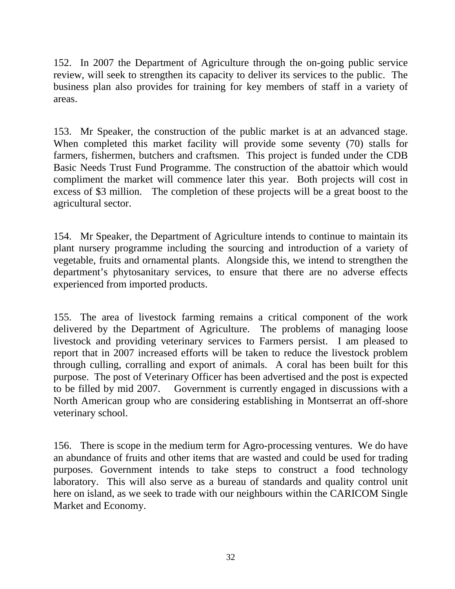152. In 2007 the Department of Agriculture through the on-going public service review, will seek to strengthen its capacity to deliver its services to the public. The business plan also provides for training for key members of staff in a variety of areas.

153. Mr Speaker, the construction of the public market is at an advanced stage. When completed this market facility will provide some seventy (70) stalls for farmers, fishermen, butchers and craftsmen. This project is funded under the CDB Basic Needs Trust Fund Programme. The construction of the abattoir which would compliment the market will commence later this year. Both projects will cost in excess of \$3 million. The completion of these projects will be a great boost to the agricultural sector.

154. Mr Speaker, the Department of Agriculture intends to continue to maintain its plant nursery programme including the sourcing and introduction of a variety of vegetable, fruits and ornamental plants. Alongside this, we intend to strengthen the department's phytosanitary services, to ensure that there are no adverse effects experienced from imported products.

155. The area of livestock farming remains a critical component of the work delivered by the Department of Agriculture. The problems of managing loose livestock and providing veterinary services to Farmers persist. I am pleased to report that in 2007 increased efforts will be taken to reduce the livestock problem through culling, corralling and export of animals. A coral has been built for this purpose. The post of Veterinary Officer has been advertised and the post is expected to be filled by mid 2007. Government is currently engaged in discussions with a North American group who are considering establishing in Montserrat an off-shore veterinary school.

156. There is scope in the medium term for Agro-processing ventures. We do have an abundance of fruits and other items that are wasted and could be used for trading purposes. Government intends to take steps to construct a food technology laboratory. This will also serve as a bureau of standards and quality control unit here on island, as we seek to trade with our neighbours within the CARICOM Single Market and Economy.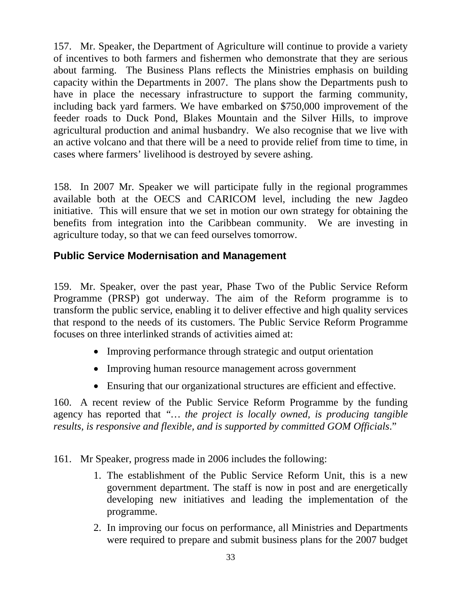157. Mr. Speaker, the Department of Agriculture will continue to provide a variety of incentives to both farmers and fishermen who demonstrate that they are serious about farming. The Business Plans reflects the Ministries emphasis on building capacity within the Departments in 2007. The plans show the Departments push to have in place the necessary infrastructure to support the farming community, including back yard farmers. We have embarked on \$750,000 improvement of the feeder roads to Duck Pond, Blakes Mountain and the Silver Hills, to improve agricultural production and animal husbandry. We also recognise that we live with an active volcano and that there will be a need to provide relief from time to time, in cases where farmers' livelihood is destroyed by severe ashing.

158. In 2007 Mr. Speaker we will participate fully in the regional programmes available both at the OECS and CARICOM level, including the new Jagdeo initiative. This will ensure that we set in motion our own strategy for obtaining the benefits from integration into the Caribbean community. We are investing in agriculture today, so that we can feed ourselves tomorrow.

# **Public Service Modernisation and Management**

159. Mr. Speaker, over the past year, Phase Two of the Public Service Reform Programme (PRSP) got underway. The aim of the Reform programme is to transform the public service, enabling it to deliver effective and high quality services that respond to the needs of its customers. The Public Service Reform Programme focuses on three interlinked strands of activities aimed at:

- Improving performance through strategic and output orientation
- Improving human resource management across government
- Ensuring that our organizational structures are efficient and effective.

160. A recent review of the Public Service Reform Programme by the funding agency has reported that *"… the project is locally owned, is producing tangible results, is responsive and flexible, and is supported by committed GOM Officials*."

161. Mr Speaker, progress made in 2006 includes the following:

- 1. The establishment of the Public Service Reform Unit, this is a new government department. The staff is now in post and are energetically developing new initiatives and leading the implementation of the programme.
- 2. In improving our focus on performance, all Ministries and Departments were required to prepare and submit business plans for the 2007 budget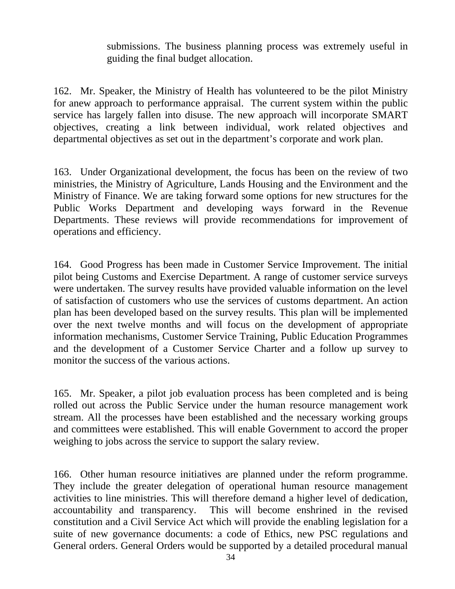submissions. The business planning process was extremely useful in guiding the final budget allocation.

162. Mr. Speaker, the Ministry of Health has volunteered to be the pilot Ministry for anew approach to performance appraisal. The current system within the public service has largely fallen into disuse. The new approach will incorporate SMART objectives, creating a link between individual, work related objectives and departmental objectives as set out in the department's corporate and work plan.

163. Under Organizational development, the focus has been on the review of two ministries, the Ministry of Agriculture, Lands Housing and the Environment and the Ministry of Finance. We are taking forward some options for new structures for the Public Works Department and developing ways forward in the Revenue Departments. These reviews will provide recommendations for improvement of operations and efficiency.

164. Good Progress has been made in Customer Service Improvement. The initial pilot being Customs and Exercise Department. A range of customer service surveys were undertaken. The survey results have provided valuable information on the level of satisfaction of customers who use the services of customs department. An action plan has been developed based on the survey results. This plan will be implemented over the next twelve months and will focus on the development of appropriate information mechanisms, Customer Service Training, Public Education Programmes and the development of a Customer Service Charter and a follow up survey to monitor the success of the various actions.

165. Mr. Speaker, a pilot job evaluation process has been completed and is being rolled out across the Public Service under the human resource management work stream. All the processes have been established and the necessary working groups and committees were established. This will enable Government to accord the proper weighing to jobs across the service to support the salary review.

166. Other human resource initiatives are planned under the reform programme. They include the greater delegation of operational human resource management activities to line ministries. This will therefore demand a higher level of dedication, accountability and transparency. This will become enshrined in the revised constitution and a Civil Service Act which will provide the enabling legislation for a suite of new governance documents: a code of Ethics, new PSC regulations and General orders. General Orders would be supported by a detailed procedural manual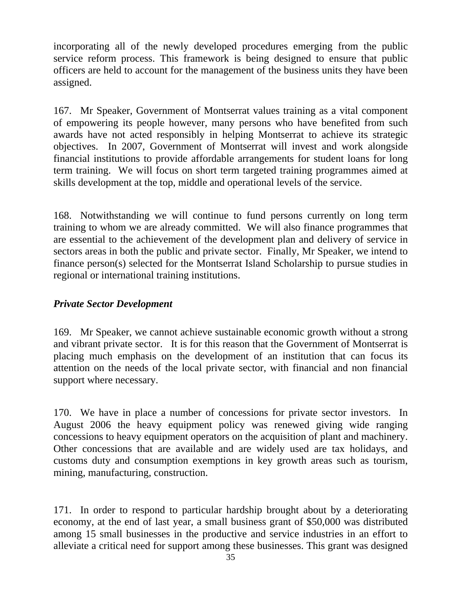incorporating all of the newly developed procedures emerging from the public service reform process. This framework is being designed to ensure that public officers are held to account for the management of the business units they have been assigned.

167. Mr Speaker, Government of Montserrat values training as a vital component of empowering its people however, many persons who have benefited from such awards have not acted responsibly in helping Montserrat to achieve its strategic objectives. In 2007, Government of Montserrat will invest and work alongside financial institutions to provide affordable arrangements for student loans for long term training. We will focus on short term targeted training programmes aimed at skills development at the top, middle and operational levels of the service.

168. Notwithstanding we will continue to fund persons currently on long term training to whom we are already committed. We will also finance programmes that are essential to the achievement of the development plan and delivery of service in sectors areas in both the public and private sector. Finally, Mr Speaker, we intend to finance person(s) selected for the Montserrat Island Scholarship to pursue studies in regional or international training institutions.

## *Private Sector Development*

169. Mr Speaker, we cannot achieve sustainable economic growth without a strong and vibrant private sector. It is for this reason that the Government of Montserrat is placing much emphasis on the development of an institution that can focus its attention on the needs of the local private sector, with financial and non financial support where necessary.

170. We have in place a number of concessions for private sector investors. In August 2006 the heavy equipment policy was renewed giving wide ranging concessions to heavy equipment operators on the acquisition of plant and machinery. Other concessions that are available and are widely used are tax holidays, and customs duty and consumption exemptions in key growth areas such as tourism, mining, manufacturing, construction.

171. In order to respond to particular hardship brought about by a deteriorating economy, at the end of last year, a small business grant of \$50,000 was distributed among 15 small businesses in the productive and service industries in an effort to alleviate a critical need for support among these businesses. This grant was designed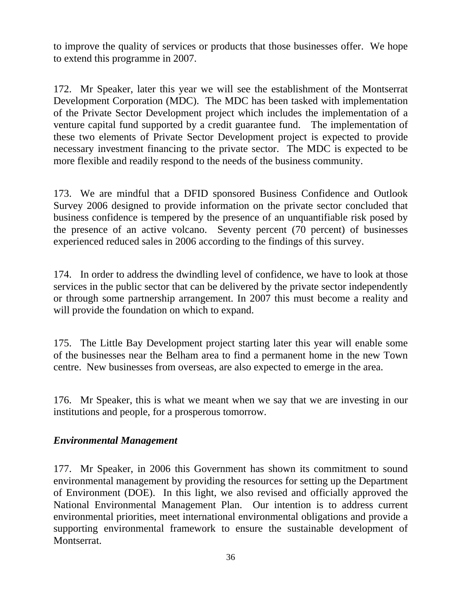to improve the quality of services or products that those businesses offer. We hope to extend this programme in 2007.

172. Mr Speaker, later this year we will see the establishment of the Montserrat Development Corporation (MDC). The MDC has been tasked with implementation of the Private Sector Development project which includes the implementation of a venture capital fund supported by a credit guarantee fund. The implementation of these two elements of Private Sector Development project is expected to provide necessary investment financing to the private sector. The MDC is expected to be more flexible and readily respond to the needs of the business community.

173. We are mindful that a DFID sponsored Business Confidence and Outlook Survey 2006 designed to provide information on the private sector concluded that business confidence is tempered by the presence of an unquantifiable risk posed by the presence of an active volcano. Seventy percent (70 percent) of businesses experienced reduced sales in 2006 according to the findings of this survey.

174. In order to address the dwindling level of confidence, we have to look at those services in the public sector that can be delivered by the private sector independently or through some partnership arrangement. In 2007 this must become a reality and will provide the foundation on which to expand.

175. The Little Bay Development project starting later this year will enable some of the businesses near the Belham area to find a permanent home in the new Town centre. New businesses from overseas, are also expected to emerge in the area.

176. Mr Speaker, this is what we meant when we say that we are investing in our institutions and people, for a prosperous tomorrow.

### *Environmental Management*

177. Mr Speaker, in 2006 this Government has shown its commitment to sound environmental management by providing the resources for setting up the Department of Environment (DOE). In this light, we also revised and officially approved the National Environmental Management Plan. Our intention is to address current environmental priorities, meet international environmental obligations and provide a supporting environmental framework to ensure the sustainable development of Montserrat.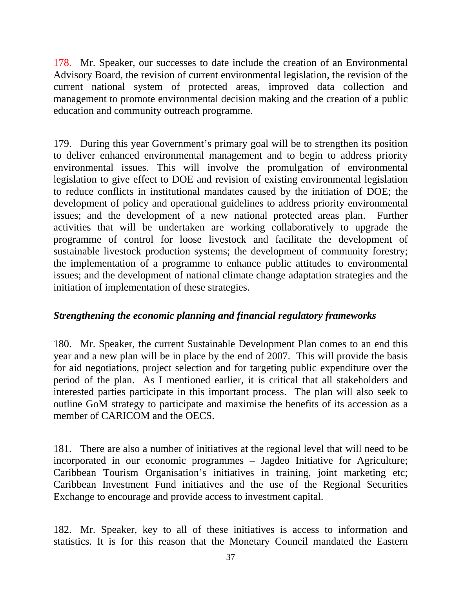178. Mr. Speaker, our successes to date include the creation of an Environmental Advisory Board, the revision of current environmental legislation, the revision of the current national system of protected areas, improved data collection and management to promote environmental decision making and the creation of a public education and community outreach programme.

179. During this year Government's primary goal will be to strengthen its position to deliver enhanced environmental management and to begin to address priority environmental issues. This will involve the promulgation of environmental legislation to give effect to DOE and revision of existing environmental legislation to reduce conflicts in institutional mandates caused by the initiation of DOE; the development of policy and operational guidelines to address priority environmental issues; and the development of a new national protected areas plan. Further activities that will be undertaken are working collaboratively to upgrade the programme of control for loose livestock and facilitate the development of sustainable livestock production systems; the development of community forestry; the implementation of a programme to enhance public attitudes to environmental issues; and the development of national climate change adaptation strategies and the initiation of implementation of these strategies.

### *Strengthening the economic planning and financial regulatory frameworks*

180. Mr. Speaker, the current Sustainable Development Plan comes to an end this year and a new plan will be in place by the end of 2007. This will provide the basis for aid negotiations, project selection and for targeting public expenditure over the period of the plan. As I mentioned earlier, it is critical that all stakeholders and interested parties participate in this important process. The plan will also seek to outline GoM strategy to participate and maximise the benefits of its accession as a member of CARICOM and the OECS.

181. There are also a number of initiatives at the regional level that will need to be incorporated in our economic programmes – Jagdeo Initiative for Agriculture; Caribbean Tourism Organisation's initiatives in training, joint marketing etc; Caribbean Investment Fund initiatives and the use of the Regional Securities Exchange to encourage and provide access to investment capital.

182. Mr. Speaker, key to all of these initiatives is access to information and statistics. It is for this reason that the Monetary Council mandated the Eastern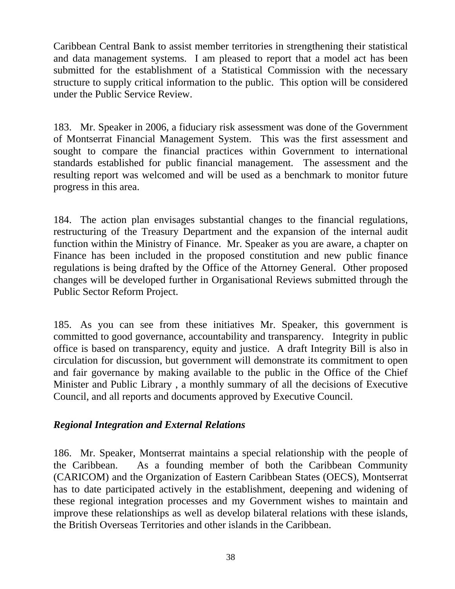Caribbean Central Bank to assist member territories in strengthening their statistical and data management systems. I am pleased to report that a model act has been submitted for the establishment of a Statistical Commission with the necessary structure to supply critical information to the public. This option will be considered under the Public Service Review.

183. Mr. Speaker in 2006, a fiduciary risk assessment was done of the Government of Montserrat Financial Management System. This was the first assessment and sought to compare the financial practices within Government to international standards established for public financial management. The assessment and the resulting report was welcomed and will be used as a benchmark to monitor future progress in this area.

184. The action plan envisages substantial changes to the financial regulations, restructuring of the Treasury Department and the expansion of the internal audit function within the Ministry of Finance. Mr. Speaker as you are aware, a chapter on Finance has been included in the proposed constitution and new public finance regulations is being drafted by the Office of the Attorney General. Other proposed changes will be developed further in Organisational Reviews submitted through the Public Sector Reform Project.

185. As you can see from these initiatives Mr. Speaker, this government is committed to good governance, accountability and transparency. Integrity in public office is based on transparency, equity and justice. A draft Integrity Bill is also in circulation for discussion, but government will demonstrate its commitment to open and fair governance by making available to the public in the Office of the Chief Minister and Public Library , a monthly summary of all the decisions of Executive Council, and all reports and documents approved by Executive Council.

### *Regional Integration and External Relations*

186. Mr. Speaker, Montserrat maintains a special relationship with the people of the Caribbean. As a founding member of both the Caribbean Community (CARICOM) and the Organization of Eastern Caribbean States (OECS), Montserrat has to date participated actively in the establishment, deepening and widening of these regional integration processes and my Government wishes to maintain and improve these relationships as well as develop bilateral relations with these islands, the British Overseas Territories and other islands in the Caribbean.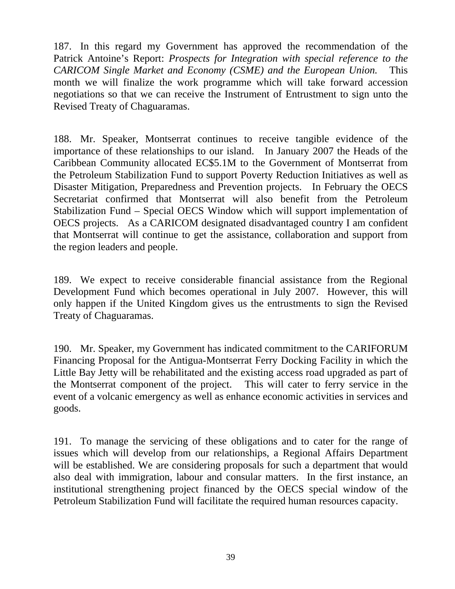187. In this regard my Government has approved the recommendation of the Patrick Antoine's Report: *Prospects for Integration with special reference to the CARICOM Single Market and Economy (CSME) and the European Union.* This month we will finalize the work programme which will take forward accession negotiations so that we can receive the Instrument of Entrustment to sign unto the Revised Treaty of Chaguaramas.

188. Mr. Speaker, Montserrat continues to receive tangible evidence of the importance of these relationships to our island. In January 2007 the Heads of the Caribbean Community allocated EC\$5.1M to the Government of Montserrat from the Petroleum Stabilization Fund to support Poverty Reduction Initiatives as well as Disaster Mitigation, Preparedness and Prevention projects. In February the OECS Secretariat confirmed that Montserrat will also benefit from the Petroleum Stabilization Fund – Special OECS Window which will support implementation of OECS projects. As a CARICOM designated disadvantaged country I am confident that Montserrat will continue to get the assistance, collaboration and support from the region leaders and people.

189. We expect to receive considerable financial assistance from the Regional Development Fund which becomes operational in July 2007. However, this will only happen if the United Kingdom gives us the entrustments to sign the Revised Treaty of Chaguaramas.

190. Mr. Speaker, my Government has indicated commitment to the CARIFORUM Financing Proposal for the Antigua-Montserrat Ferry Docking Facility in which the Little Bay Jetty will be rehabilitated and the existing access road upgraded as part of the Montserrat component of the project. This will cater to ferry service in the event of a volcanic emergency as well as enhance economic activities in services and goods.

191. To manage the servicing of these obligations and to cater for the range of issues which will develop from our relationships, a Regional Affairs Department will be established. We are considering proposals for such a department that would also deal with immigration, labour and consular matters. In the first instance, an institutional strengthening project financed by the OECS special window of the Petroleum Stabilization Fund will facilitate the required human resources capacity.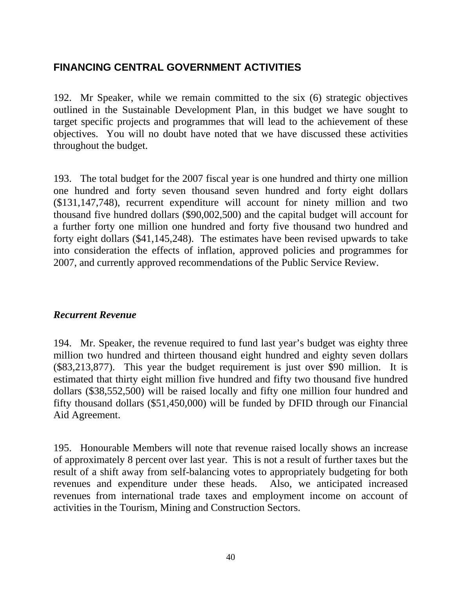# **FINANCING CENTRAL GOVERNMENT ACTIVITIES**

192. Mr Speaker, while we remain committed to the six (6) strategic objectives outlined in the Sustainable Development Plan, in this budget we have sought to target specific projects and programmes that will lead to the achievement of these objectives. You will no doubt have noted that we have discussed these activities throughout the budget.

193. The total budget for the 2007 fiscal year is one hundred and thirty one million one hundred and forty seven thousand seven hundred and forty eight dollars (\$131,147,748), recurrent expenditure will account for ninety million and two thousand five hundred dollars (\$90,002,500) and the capital budget will account for a further forty one million one hundred and forty five thousand two hundred and forty eight dollars (\$41,145,248). The estimates have been revised upwards to take into consideration the effects of inflation, approved policies and programmes for 2007, and currently approved recommendations of the Public Service Review.

### *Recurrent Revenue*

194. Mr. Speaker, the revenue required to fund last year's budget was eighty three million two hundred and thirteen thousand eight hundred and eighty seven dollars (\$83,213,877). This year the budget requirement is just over \$90 million. It is estimated that thirty eight million five hundred and fifty two thousand five hundred dollars (\$38,552,500) will be raised locally and fifty one million four hundred and fifty thousand dollars (\$51,450,000) will be funded by DFID through our Financial Aid Agreement.

195. Honourable Members will note that revenue raised locally shows an increase of approximately 8 percent over last year. This is not a result of further taxes but the result of a shift away from self-balancing votes to appropriately budgeting for both revenues and expenditure under these heads. Also, we anticipated increased revenues from international trade taxes and employment income on account of activities in the Tourism, Mining and Construction Sectors.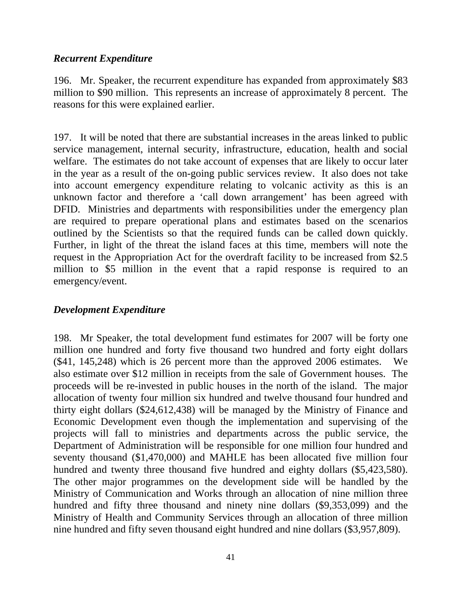### *Recurrent Expenditure*

196. Mr. Speaker, the recurrent expenditure has expanded from approximately \$83 million to \$90 million. This represents an increase of approximately 8 percent. The reasons for this were explained earlier.

197. It will be noted that there are substantial increases in the areas linked to public service management, internal security, infrastructure, education, health and social welfare. The estimates do not take account of expenses that are likely to occur later in the year as a result of the on-going public services review. It also does not take into account emergency expenditure relating to volcanic activity as this is an unknown factor and therefore a 'call down arrangement' has been agreed with DFID. Ministries and departments with responsibilities under the emergency plan are required to prepare operational plans and estimates based on the scenarios outlined by the Scientists so that the required funds can be called down quickly. Further, in light of the threat the island faces at this time, members will note the request in the Appropriation Act for the overdraft facility to be increased from \$2.5 million to \$5 million in the event that a rapid response is required to an emergency/event.

#### *Development Expenditure*

198. Mr Speaker, the total development fund estimates for 2007 will be forty one million one hundred and forty five thousand two hundred and forty eight dollars (\$41, 145,248) which is 26 percent more than the approved 2006 estimates. We also estimate over \$12 million in receipts from the sale of Government houses. The proceeds will be re-invested in public houses in the north of the island. The major allocation of twenty four million six hundred and twelve thousand four hundred and thirty eight dollars (\$24,612,438) will be managed by the Ministry of Finance and Economic Development even though the implementation and supervising of the projects will fall to ministries and departments across the public service, the Department of Administration will be responsible for one million four hundred and seventy thousand (\$1,470,000) and MAHLE has been allocated five million four hundred and twenty three thousand five hundred and eighty dollars (\$5,423,580). The other major programmes on the development side will be handled by the Ministry of Communication and Works through an allocation of nine million three hundred and fifty three thousand and ninety nine dollars (\$9,353,099) and the Ministry of Health and Community Services through an allocation of three million nine hundred and fifty seven thousand eight hundred and nine dollars (\$3,957,809).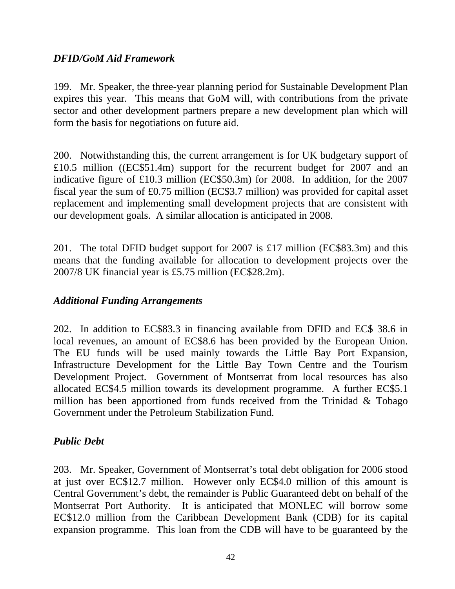## *DFID/GoM Aid Framework*

199. Mr. Speaker, the three-year planning period for Sustainable Development Plan expires this year. This means that GoM will, with contributions from the private sector and other development partners prepare a new development plan which will form the basis for negotiations on future aid.

200. Notwithstanding this, the current arrangement is for UK budgetary support of £10.5 million ((EC\$51.4m) support for the recurrent budget for 2007 and an indicative figure of £10.3 million (EC\$50.3m) for 2008. In addition, for the 2007 fiscal year the sum of £0.75 million (EC\$3.7 million) was provided for capital asset replacement and implementing small development projects that are consistent with our development goals. A similar allocation is anticipated in 2008.

201. The total DFID budget support for 2007 is £17 million (EC\$83.3m) and this means that the funding available for allocation to development projects over the 2007/8 UK financial year is £5.75 million (EC\$28.2m).

### *Additional Funding Arrangements*

202. In addition to EC\$83.3 in financing available from DFID and EC\$ 38.6 in local revenues, an amount of EC\$8.6 has been provided by the European Union. The EU funds will be used mainly towards the Little Bay Port Expansion, Infrastructure Development for the Little Bay Town Centre and the Tourism Development Project. Government of Montserrat from local resources has also allocated EC\$4.5 million towards its development programme. A further EC\$5.1 million has been apportioned from funds received from the Trinidad & Tobago Government under the Petroleum Stabilization Fund.

### *Public Debt*

203. Mr. Speaker, Government of Montserrat's total debt obligation for 2006 stood at just over EC\$12.7 million. However only EC\$4.0 million of this amount is Central Government's debt, the remainder is Public Guaranteed debt on behalf of the Montserrat Port Authority. It is anticipated that MONLEC will borrow some EC\$12.0 million from the Caribbean Development Bank (CDB) for its capital expansion programme. This loan from the CDB will have to be guaranteed by the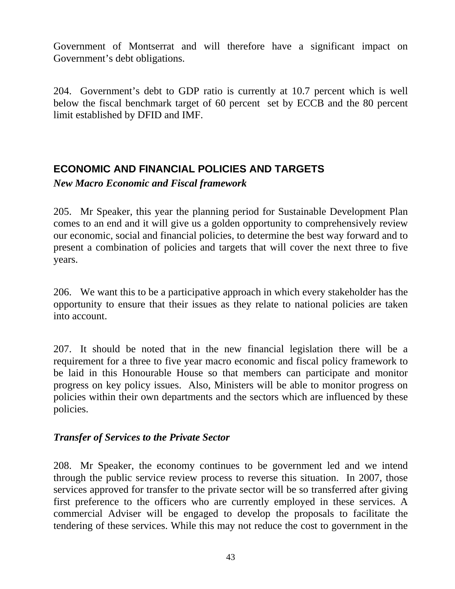Government of Montserrat and will therefore have a significant impact on Government's debt obligations.

204. Government's debt to GDP ratio is currently at 10.7 percent which is well below the fiscal benchmark target of 60 percent set by ECCB and the 80 percent limit established by DFID and IMF.

# **ECONOMIC AND FINANCIAL POLICIES AND TARGETS**

*New Macro Economic and Fiscal framework* 

205. Mr Speaker, this year the planning period for Sustainable Development Plan comes to an end and it will give us a golden opportunity to comprehensively review our economic, social and financial policies, to determine the best way forward and to present a combination of policies and targets that will cover the next three to five years.

206. We want this to be a participative approach in which every stakeholder has the opportunity to ensure that their issues as they relate to national policies are taken into account.

207. It should be noted that in the new financial legislation there will be a requirement for a three to five year macro economic and fiscal policy framework to be laid in this Honourable House so that members can participate and monitor progress on key policy issues. Also, Ministers will be able to monitor progress on policies within their own departments and the sectors which are influenced by these policies.

# *Transfer of Services to the Private Sector*

208. Mr Speaker, the economy continues to be government led and we intend through the public service review process to reverse this situation. In 2007, those services approved for transfer to the private sector will be so transferred after giving first preference to the officers who are currently employed in these services. A commercial Adviser will be engaged to develop the proposals to facilitate the tendering of these services. While this may not reduce the cost to government in the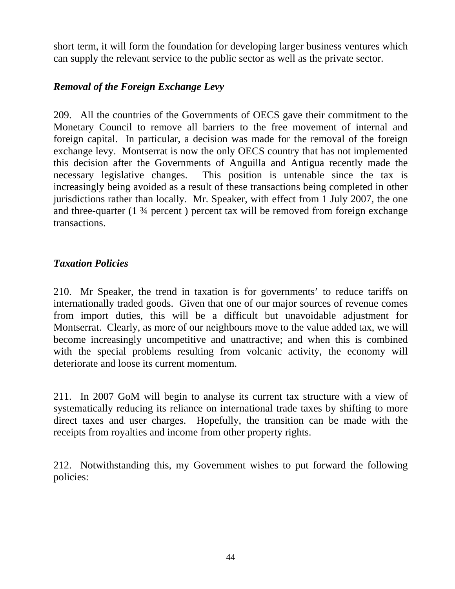short term, it will form the foundation for developing larger business ventures which can supply the relevant service to the public sector as well as the private sector.

## *Removal of the Foreign Exchange Levy*

209. All the countries of the Governments of OECS gave their commitment to the Monetary Council to remove all barriers to the free movement of internal and foreign capital. In particular, a decision was made for the removal of the foreign exchange levy. Montserrat is now the only OECS country that has not implemented this decision after the Governments of Anguilla and Antigua recently made the necessary legislative changes. This position is untenable since the tax is increasingly being avoided as a result of these transactions being completed in other jurisdictions rather than locally. Mr. Speaker, with effect from 1 July 2007, the one and three-quarter (1 ¾ percent ) percent tax will be removed from foreign exchange transactions.

### *Taxation Policies*

210. Mr Speaker, the trend in taxation is for governments' to reduce tariffs on internationally traded goods. Given that one of our major sources of revenue comes from import duties, this will be a difficult but unavoidable adjustment for Montserrat. Clearly, as more of our neighbours move to the value added tax, we will become increasingly uncompetitive and unattractive; and when this is combined with the special problems resulting from volcanic activity, the economy will deteriorate and loose its current momentum.

211. In 2007 GoM will begin to analyse its current tax structure with a view of systematically reducing its reliance on international trade taxes by shifting to more direct taxes and user charges. Hopefully, the transition can be made with the receipts from royalties and income from other property rights.

212. Notwithstanding this, my Government wishes to put forward the following policies: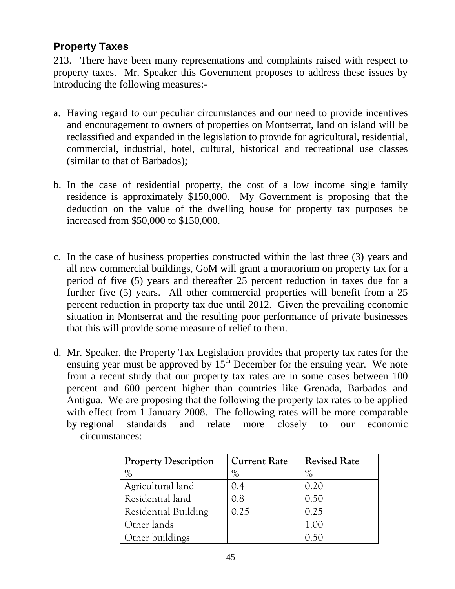# **Property Taxes**

213. There have been many representations and complaints raised with respect to property taxes. Mr. Speaker this Government proposes to address these issues by introducing the following measures:-

- a. Having regard to our peculiar circumstances and our need to provide incentives and encouragement to owners of properties on Montserrat, land on island will be reclassified and expanded in the legislation to provide for agricultural, residential, commercial, industrial, hotel, cultural, historical and recreational use classes (similar to that of Barbados);
- b. In the case of residential property, the cost of a low income single family residence is approximately \$150,000. My Government is proposing that the deduction on the value of the dwelling house for property tax purposes be increased from \$50,000 to \$150,000.
- c. In the case of business properties constructed within the last three (3) years and all new commercial buildings, GoM will grant a moratorium on property tax for a period of five (5) years and thereafter 25 percent reduction in taxes due for a further five (5) years. All other commercial properties will benefit from a 25 percent reduction in property tax due until 2012. Given the prevailing economic situation in Montserrat and the resulting poor performance of private businesses that this will provide some measure of relief to them.
- d. Mr. Speaker, the Property Tax Legislation provides that property tax rates for the ensuing year must be approved by  $15<sup>th</sup>$  December for the ensuing year. We note from a recent study that our property tax rates are in some cases between 100 percent and 600 percent higher than countries like Grenada, Barbados and Antigua. We are proposing that the following the property tax rates to be applied with effect from 1 January 2008. The following rates will be more comparable by regional standards and relate more closely to our economic circumstances:

| <b>Property Description</b> | <b>Current Rate</b> | <b>Revised Rate</b> |
|-----------------------------|---------------------|---------------------|
| $\%$                        | $\%$                | $\%$                |
| Agricultural land           | 0.4                 | 0.20                |
| Residential land            | 0.8                 | 0.50                |
| <b>Residential Building</b> | 0.25                | 0.25                |
| Other lands                 |                     | 1.00                |
| Other buildings             |                     |                     |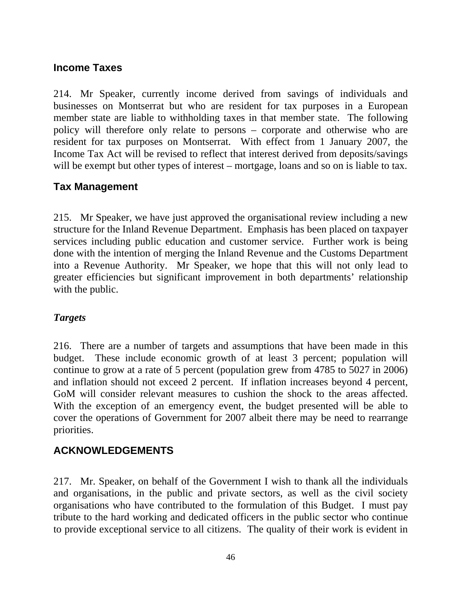## **Income Taxes**

214. Mr Speaker, currently income derived from savings of individuals and businesses on Montserrat but who are resident for tax purposes in a European member state are liable to withholding taxes in that member state. The following policy will therefore only relate to persons – corporate and otherwise who are resident for tax purposes on Montserrat. With effect from 1 January 2007, the Income Tax Act will be revised to reflect that interest derived from deposits/savings will be exempt but other types of interest – mortgage, loans and so on is liable to tax.

## **Tax Management**

215. Mr Speaker, we have just approved the organisational review including a new structure for the Inland Revenue Department. Emphasis has been placed on taxpayer services including public education and customer service. Further work is being done with the intention of merging the Inland Revenue and the Customs Department into a Revenue Authority. Mr Speaker, we hope that this will not only lead to greater efficiencies but significant improvement in both departments' relationship with the public.

### *Targets*

216. There are a number of targets and assumptions that have been made in this budget. These include economic growth of at least 3 percent; population will continue to grow at a rate of 5 percent (population grew from 4785 to 5027 in 2006) and inflation should not exceed 2 percent. If inflation increases beyond 4 percent, GoM will consider relevant measures to cushion the shock to the areas affected. With the exception of an emergency event, the budget presented will be able to cover the operations of Government for 2007 albeit there may be need to rearrange priorities.

# **ACKNOWLEDGEMENTS**

217. Mr. Speaker, on behalf of the Government I wish to thank all the individuals and organisations, in the public and private sectors, as well as the civil society organisations who have contributed to the formulation of this Budget. I must pay tribute to the hard working and dedicated officers in the public sector who continue to provide exceptional service to all citizens. The quality of their work is evident in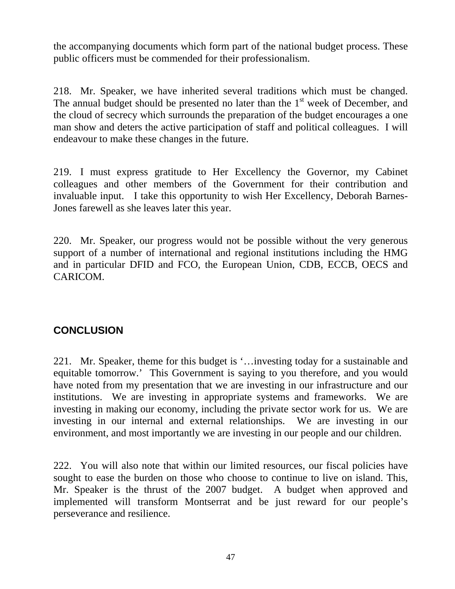the accompanying documents which form part of the national budget process. These public officers must be commended for their professionalism.

218. Mr. Speaker, we have inherited several traditions which must be changed. The annual budget should be presented no later than the  $1<sup>st</sup>$  week of December, and the cloud of secrecy which surrounds the preparation of the budget encourages a one man show and deters the active participation of staff and political colleagues. I will endeavour to make these changes in the future.

219. I must express gratitude to Her Excellency the Governor, my Cabinet colleagues and other members of the Government for their contribution and invaluable input. I take this opportunity to wish Her Excellency, Deborah Barnes-Jones farewell as she leaves later this year.

220. Mr. Speaker, our progress would not be possible without the very generous support of a number of international and regional institutions including the HMG and in particular DFID and FCO, the European Union, CDB, ECCB, OECS and CARICOM.

# **CONCLUSION**

221. Mr. Speaker, theme for this budget is '…investing today for a sustainable and equitable tomorrow.' This Government is saying to you therefore, and you would have noted from my presentation that we are investing in our infrastructure and our institutions. We are investing in appropriate systems and frameworks. We are investing in making our economy, including the private sector work for us. We are investing in our internal and external relationships. We are investing in our environment, and most importantly we are investing in our people and our children.

222. You will also note that within our limited resources, our fiscal policies have sought to ease the burden on those who choose to continue to live on island. This, Mr. Speaker is the thrust of the 2007 budget. A budget when approved and implemented will transform Montserrat and be just reward for our people's perseverance and resilience.